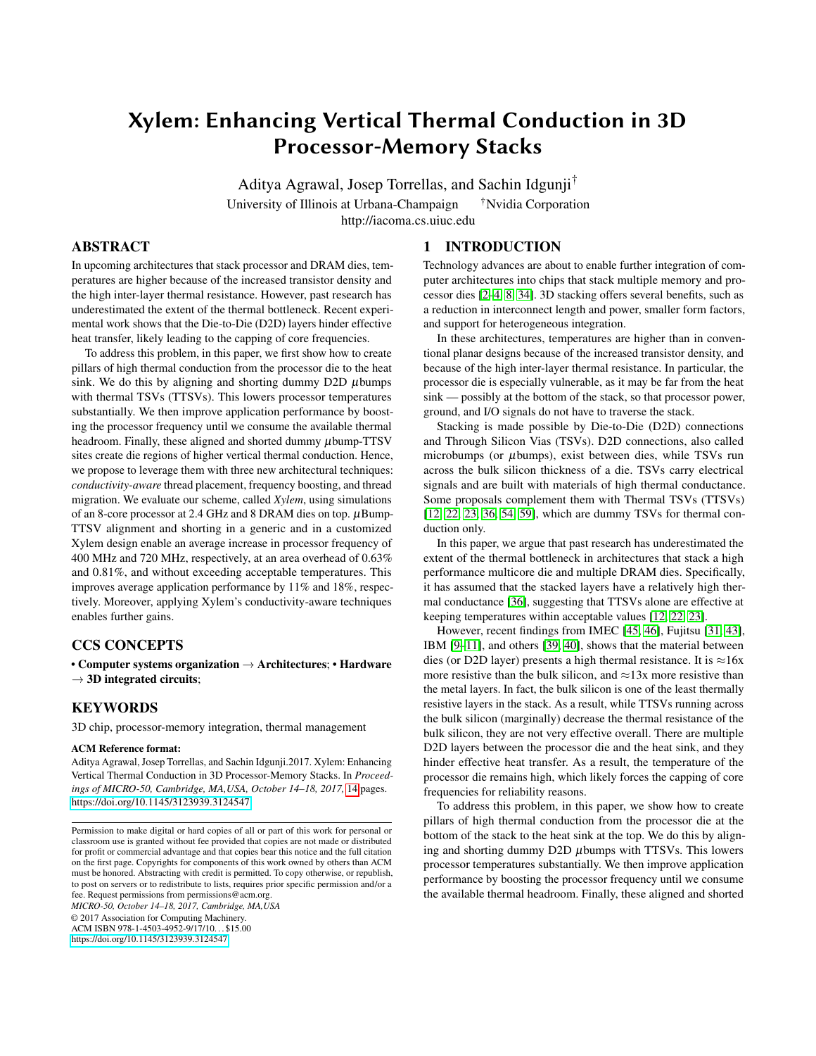# <span id="page-0-0"></span>Xylem: Enhancing Vertical Thermal Conduction in 3D Processor-Memory Stacks

Aditya Agrawal, Josep Torrellas, and Sachin Idgunji† University of Illinois at Urbana-Champaign <sup>†</sup>Nvidia Corporation http://iacoma.cs.uiuc.edu

## ABSTRACT

In upcoming architectures that stack processor and DRAM dies, temperatures are higher because of the increased transistor density and the high inter-layer thermal resistance. However, past research has underestimated the extent of the thermal bottleneck. Recent experimental work shows that the Die-to-Die (D2D) layers hinder effective heat transfer, likely leading to the capping of core frequencies.

To address this problem, in this paper, we first show how to create pillars of high thermal conduction from the processor die to the heat sink. We do this by aligning and shorting dummy  $D2D$   $\mu$ bumps with thermal TSVs (TTSVs). This lowers processor temperatures substantially. We then improve application performance by boosting the processor frequency until we consume the available thermal headroom. Finally, these aligned and shorted dummy  $\mu$ bump-TTSV sites create die regions of higher vertical thermal conduction. Hence, we propose to leverage them with three new architectural techniques: *conductivity-aware* thread placement, frequency boosting, and thread migration. We evaluate our scheme, called *Xylem*, using simulations of an 8-core processor at 2.4 GHz and 8 DRAM dies on top.  $\mu$ Bump-TTSV alignment and shorting in a generic and in a customized Xylem design enable an average increase in processor frequency of 400 MHz and 720 MHz, respectively, at an area overhead of 0.63% and 0.81%, and without exceeding acceptable temperatures. This improves average application performance by 11% and 18%, respectively. Moreover, applying Xylem's conductivity-aware techniques enables further gains.

# CCS CONCEPTS

• Computer systems organization  $\rightarrow$  Architectures; • Hardware  $\rightarrow$  3D integrated circuits;

## KEYWORDS

3D chip, processor-memory integration, thermal management

#### ACM Reference format:

Aditya Agrawal, Josep Torrellas, and Sachin Idgunji.2017. Xylem: Enhancing Vertical Thermal Conduction in 3D Processor-Memory Stacks. In *Proceedings of MICRO-50, Cambridge, MA,USA, October 14–18, 2017,* [14](#page-13-0) pages. https://doi.org/10.[1145/3123939](https://doi.org/10.1145/3123939.3124547).3124547

*MICRO-50, October 14–18, 2017, Cambridge, MA,USA*

© 2017 Association for Computing Machinery.

ACM ISBN 978-1-4503-4952-9/17/10. . . \$15.00 https://doi.org/10.[1145/3123939](https://doi.org/10.1145/3123939.3124547).3124547

## 1 INTRODUCTION

Technology advances are about to enable further integration of computer architectures into chips that stack multiple memory and processor dies [\[2](#page-11-0)[–4,](#page-11-1) [8,](#page-11-2) [34\]](#page-12-0). 3D stacking offers several benefits, such as a reduction in interconnect length and power, smaller form factors, and support for heterogeneous integration.

In these architectures, temperatures are higher than in conventional planar designs because of the increased transistor density, and because of the high inter-layer thermal resistance. In particular, the processor die is especially vulnerable, as it may be far from the heat sink — possibly at the bottom of the stack, so that processor power, ground, and I/O signals do not have to traverse the stack.

Stacking is made possible by Die-to-Die (D2D) connections and Through Silicon Vias (TSVs). D2D connections, also called microbumps (or  $\mu$ bumps), exist between dies, while TSVs run across the bulk silicon thickness of a die. TSVs carry electrical signals and are built with materials of high thermal conductance. Some proposals complement them with Thermal TSVs (TTSVs) [\[12,](#page-11-3) [22,](#page-12-1) [23,](#page-12-2) [36,](#page-12-3) [54,](#page-13-1) [59\]](#page-13-2), which are dummy TSVs for thermal conduction only.

In this paper, we argue that past research has underestimated the extent of the thermal bottleneck in architectures that stack a high performance multicore die and multiple DRAM dies. Specifically, it has assumed that the stacked layers have a relatively high thermal conductance [\[36\]](#page-12-3), suggesting that TTSVs alone are effective at keeping temperatures within acceptable values [\[12,](#page-11-3) [22,](#page-12-1) [23\]](#page-12-2).

However, recent findings from IMEC [\[45,](#page-13-3) [46\]](#page-13-4), Fujitsu [\[31,](#page-12-4) [43\]](#page-13-5), IBM [\[9–](#page-11-4)[11\]](#page-11-5), and others [\[39,](#page-12-5) [40\]](#page-12-6), shows that the material between dies (or D2D layer) presents a high thermal resistance. It is  $\approx$ 16x more resistive than the bulk silicon, and  $\approx$ 13x more resistive than the metal layers. In fact, the bulk silicon is one of the least thermally resistive layers in the stack. As a result, while TTSVs running across the bulk silicon (marginally) decrease the thermal resistance of the bulk silicon, they are not very effective overall. There are multiple D2D layers between the processor die and the heat sink, and they hinder effective heat transfer. As a result, the temperature of the processor die remains high, which likely forces the capping of core frequencies for reliability reasons.

To address this problem, in this paper, we show how to create pillars of high thermal conduction from the processor die at the bottom of the stack to the heat sink at the top. We do this by aligning and shorting dummy D2D µbumps with TTSVs. This lowers processor temperatures substantially. We then improve application performance by boosting the processor frequency until we consume the available thermal headroom. Finally, these aligned and shorted

Permission to make digital or hard copies of all or part of this work for personal or classroom use is granted without fee provided that copies are not made or distributed for profit or commercial advantage and that copies bear this notice and the full citation on the first page. Copyrights for components of this work owned by others than ACM must be honored. Abstracting with credit is permitted. To copy otherwise, or republish, to post on servers or to redistribute to lists, requires prior specific permission and/or a fee. Request permissions from permissions@acm.org.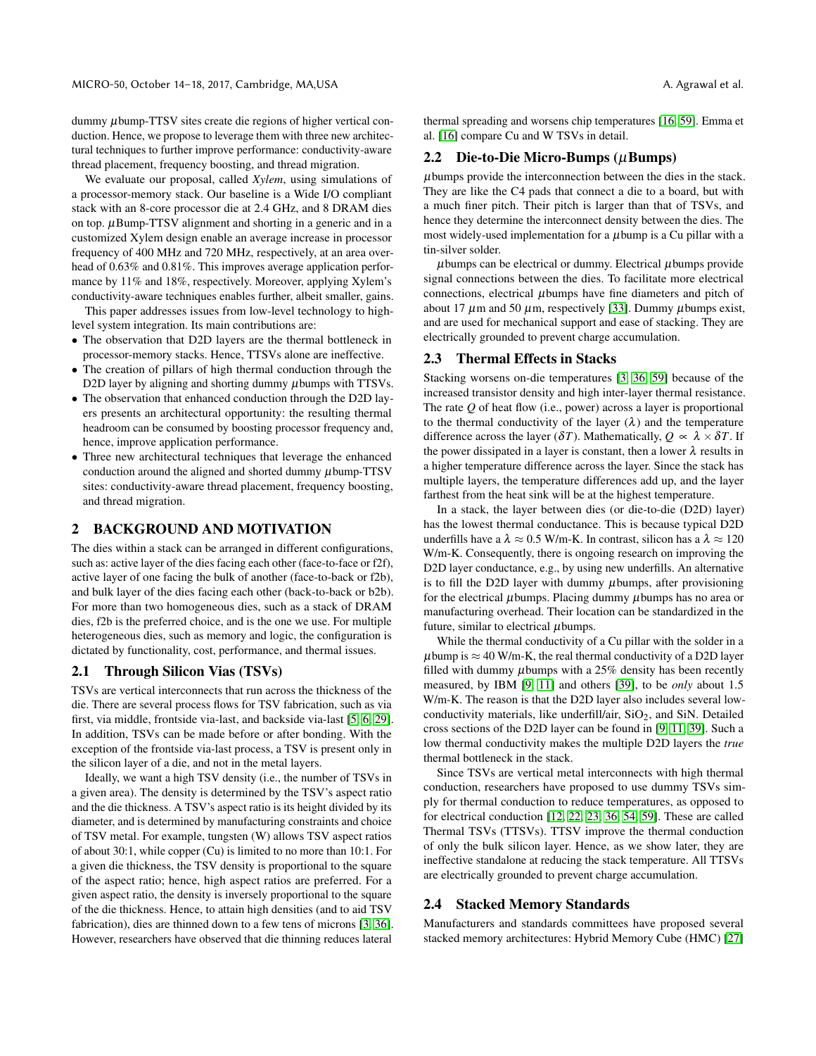dummy µbump-TTSV sites create die regions of higher vertical conduction. Hence, we propose to leverage them with three new architectural techniques to further improve performance: conductivity-aware thread placement, frequency boosting, and thread migration.

We evaluate our proposal, called *Xylem*, using simulations of a processor-memory stack. Our baseline is a Wide I/O compliant stack with an 8-core processor die at 2.4 GHz, and 8 DRAM dies on top.  $\mu$ Bump-TTSV alignment and shorting in a generic and in a customized Xylem design enable an average increase in processor frequency of 400 MHz and 720 MHz, respectively, at an area overhead of 0.63% and 0.81%. This improves average application performance by 11% and 18%, respectively. Moreover, applying Xylem's conductivity-aware techniques enables further, albeit smaller, gains.

This paper addresses issues from low-level technology to highlevel system integration. Its main contributions are:

- The observation that D2D layers are the thermal bottleneck in processor-memory stacks. Hence, TTSVs alone are ineffective.
- The creation of pillars of high thermal conduction through the D2D layer by aligning and shorting dummy  $\mu$ bumps with TTSVs.
- The observation that enhanced conduction through the D2D layers presents an architectural opportunity: the resulting thermal headroom can be consumed by boosting processor frequency and, hence, improve application performance.
- Three new architectural techniques that leverage the enhanced conduction around the aligned and shorted dummy  $\mu$ bump-TTSV sites: conductivity-aware thread placement, frequency boosting, and thread migration.

# 2 BACKGROUND AND MOTIVATION

The dies within a stack can be arranged in different configurations, such as: active layer of the dies facing each other (face-to-face or f2f), active layer of one facing the bulk of another (face-to-back or f2b), and bulk layer of the dies facing each other (back-to-back or b2b). For more than two homogeneous dies, such as a stack of DRAM dies, f2b is the preferred choice, and is the one we use. For multiple heterogeneous dies, such as memory and logic, the configuration is dictated by functionality, cost, performance, and thermal issues.

#### 2.1 Through Silicon Vias (TSVs)

TSVs are vertical interconnects that run across the thickness of the die. There are several process flows for TSV fabrication, such as via first, via middle, frontside via-last, and backside via-last [\[5,](#page-11-6) [6,](#page-11-7) [29\]](#page-12-7). In addition, TSVs can be made before or after bonding. With the exception of the frontside via-last process, a TSV is present only in the silicon layer of a die, and not in the metal layers.

Ideally, we want a high TSV density (i.e., the number of TSVs in a given area). The density is determined by the TSV's aspect ratio and the die thickness. A TSV's aspect ratio is its height divided by its diameter, and is determined by manufacturing constraints and choice of TSV metal. For example, tungsten (W) allows TSV aspect ratios of about 30:1, while copper (Cu) is limited to no more than 10:1. For a given die thickness, the TSV density is proportional to the square of the aspect ratio; hence, high aspect ratios are preferred. For a given aspect ratio, the density is inversely proportional to the square of the die thickness. Hence, to attain high densities (and to aid TSV fabrication), dies are thinned down to a few tens of microns [\[3,](#page-11-8) [36\]](#page-12-3). However, researchers have observed that die thinning reduces lateral

thermal spreading and worsens chip temperatures [\[16,](#page-12-8) [59\]](#page-13-2). Emma et al. [\[16\]](#page-12-8) compare Cu and W TSVs in detail.

#### 2.2 Die-to-Die Micro-Bumps  $(\mu$ Bumps)

µbumps provide the interconnection between the dies in the stack. They are like the C4 pads that connect a die to a board, but with a much finer pitch. Their pitch is larger than that of TSVs, and hence they determine the interconnect density between the dies. The most widely-used implementation for a  $\mu$ bump is a Cu pillar with a tin-silver solder.

 $\mu$ bumps can be electrical or dummy. Electrical  $\mu$ bumps provide signal connections between the dies. To facilitate more electrical connections, electrical  $\mu$ bumps have fine diameters and pitch of about 17  $\mu$ m and 50  $\mu$ m, respectively [\[33\]](#page-12-9). Dummy  $\mu$ bumps exist, and are used for mechanical support and ease of stacking. They are electrically grounded to prevent charge accumulation.

## 2.3 Thermal Effects in Stacks

Stacking worsens on-die temperatures [\[3,](#page-11-8) [36,](#page-12-3) [59\]](#page-13-2) because of the increased transistor density and high inter-layer thermal resistance. The rate *Q* of heat flow (i.e., power) across a layer is proportional to the thermal conductivity of the layer  $(\lambda)$  and the temperature difference across the layer ( $\delta T$ ). Mathematically,  $Q \propto \lambda \times \delta T$ . If the power dissipated in a layer is constant, then a lower  $\lambda$  results in a higher temperature difference across the layer. Since the stack has multiple layers, the temperature differences add up, and the layer farthest from the heat sink will be at the highest temperature.

In a stack, the layer between dies (or die-to-die (D2D) layer) has the lowest thermal conductance. This is because typical D2D underfills have a  $\lambda \approx 0.5$  W/m-K. In contrast, silicon has a  $\lambda \approx 120$ W/m-K. Consequently, there is ongoing research on improving the D2D layer conductance, e.g., by using new underfills. An alternative is to fill the D2D layer with dummy  $\mu$ bumps, after provisioning for the electrical  $\mu$ bumps. Placing dummy  $\mu$ bumps has no area or manufacturing overhead. Their location can be standardized in the future, similar to electrical  $\mu$ bumps.

While the thermal conductivity of a Cu pillar with the solder in a  $\mu$ bump is  $\approx$  40 W/m-K, the real thermal conductivity of a D2D layer filled with dummy  $\mu$ bumps with a 25% density has been recently measured, by IBM [\[9,](#page-11-4) [11\]](#page-11-5) and others [\[39\]](#page-12-5), to be *only* about 1.5 W/m-K. The reason is that the D2D layer also includes several lowconductivity materials, like underfill/air,  $SiO<sub>2</sub>$ , and SiN. Detailed cross sections of the D2D layer can be found in [\[9,](#page-11-4) [11,](#page-11-5) [39\]](#page-12-5). Such a low thermal conductivity makes the multiple D2D layers the *true* thermal bottleneck in the stack.

Since TSVs are vertical metal interconnects with high thermal conduction, researchers have proposed to use dummy TSVs simply for thermal conduction to reduce temperatures, as opposed to for electrical conduction [\[12,](#page-11-3) [22,](#page-12-1) [23,](#page-12-2) [36,](#page-12-3) [54,](#page-13-1) [59\]](#page-13-2). These are called Thermal TSVs (TTSVs). TTSV improve the thermal conduction of only the bulk silicon layer. Hence, as we show later, they are ineffective standalone at reducing the stack temperature. All TTSVs are electrically grounded to prevent charge accumulation.

#### 2.4 Stacked Memory Standards

Manufacturers and standards committees have proposed several stacked memory architectures: Hybrid Memory Cube (HMC) [\[27\]](#page-12-10)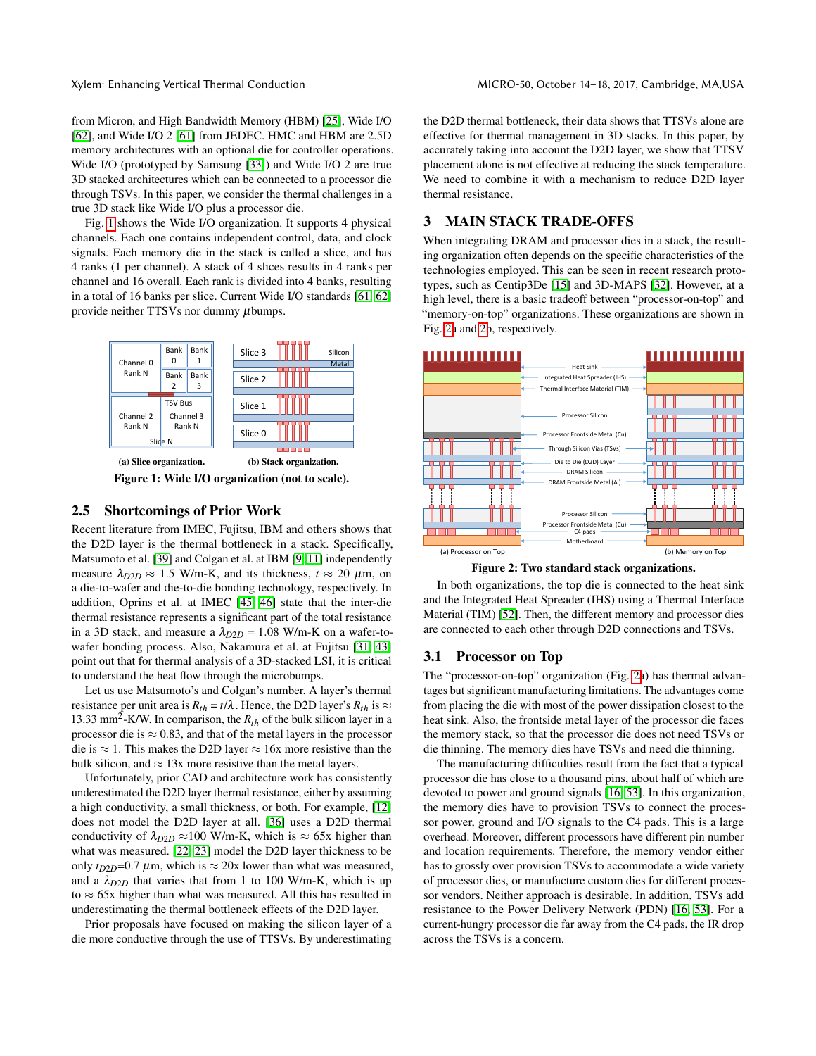from Micron, and High Bandwidth Memory (HBM) [\[25\]](#page-12-11), Wide I/O [\[62\]](#page-13-6), and Wide I/O 2 [\[61\]](#page-13-7) from JEDEC. HMC and HBM are 2.5D memory architectures with an optional die for controller operations. Wide I/O (prototyped by Samsung [\[33\]](#page-12-9)) and Wide I/O 2 are true 3D stacked architectures which can be connected to a processor die through TSVs. In this paper, we consider the thermal challenges in a true 3D stack like Wide I/O plus a processor die.

Fig. [1](#page-2-0) shows the Wide I/O organization. It supports 4 physical channels. Each one contains independent control, data, and clock signals. Each memory die in the stack is called a slice, and has 4 ranks (1 per channel). A stack of 4 slices results in 4 ranks per channel and 16 overall. Each rank is divided into 4 banks, resulting in a total of 16 banks per slice. Current Wide I/O standards [\[61,](#page-13-7) [62\]](#page-13-6) provide neither TTSVs nor dummy  $\mu$ bumps.

<span id="page-2-0"></span>

Figure 1: Wide I/O organization (not to scale).

## <span id="page-2-2"></span>2.5 Shortcomings of Prior Work

Recent literature from IMEC, Fujitsu, IBM and others shows that the D2D layer is the thermal bottleneck in a stack. Specifically, Matsumoto et al. [\[39\]](#page-12-5) and Colgan et al. at IBM [\[9,](#page-11-4) [11\]](#page-11-5) independently measure  $\lambda_{D2D} \approx 1.5$  W/m-K, and its thickness,  $t \approx 20$   $\mu$ m, on a die-to-wafer and die-to-die bonding technology, respectively. In addition, Oprins et al. at IMEC [\[45,](#page-13-3) [46\]](#page-13-4) state that the inter-die thermal resistance represents a significant part of the total resistance in a 3D stack, and measure a  $\lambda_{D2D} = 1.08$  W/m-K on a wafer-towafer bonding process. Also, Nakamura et al. at Fujitsu [\[31,](#page-12-4) [43\]](#page-13-5) point out that for thermal analysis of a 3D-stacked LSI, it is critical to understand the heat flow through the microbumps.

Let us use Matsumoto's and Colgan's number. A layer's thermal resistance per unit area is  $R_{th} = t/\lambda$ . Hence, the D2D layer's  $R_{th}$  is  $\approx$ 13.33 mm<sup>2</sup>-K/W. In comparison, the  $R<sub>th</sub>$  of the bulk silicon layer in a processor die is  $\approx 0.83$ , and that of the metal layers in the processor die is  $\approx$  1. This makes the D2D layer  $\approx$  16x more resistive than the bulk silicon, and  $\approx 13x$  more resistive than the metal layers.

Unfortunately, prior CAD and architecture work has consistently underestimated the D2D layer thermal resistance, either by assuming a high conductivity, a small thickness, or both. For example, [\[12\]](#page-11-3) does not model the D2D layer at all. [\[36\]](#page-12-3) uses a D2D thermal conductivity of  $\lambda_{D2D} \approx 100$  W/m-K, which is  $\approx 65x$  higher than what was measured. [\[22,](#page-12-1) [23\]](#page-12-2) model the D2D layer thickness to be only  $t_{D2D}$ =0.7  $\mu$ m, which is  $\approx$  20x lower than what was measured, and a  $\lambda_{D2D}$  that varies that from 1 to 100 W/m-K, which is up to  $\approx$  65x higher than what was measured. All this has resulted in underestimating the thermal bottleneck effects of the D2D layer.

Prior proposals have focused on making the silicon layer of a die more conductive through the use of TTSVs. By underestimating the D2D thermal bottleneck, their data shows that TTSVs alone are effective for thermal management in 3D stacks. In this paper, by accurately taking into account the D2D layer, we show that TTSV placement alone is not effective at reducing the stack temperature. We need to combine it with a mechanism to reduce D2D layer thermal resistance.

# 3 MAIN STACK TRADE-OFFS

When integrating DRAM and processor dies in a stack, the resulting organization often depends on the specific characteristics of the technologies employed. This can be seen in recent research prototypes, such as Centip3De [\[15\]](#page-12-12) and 3D-MAPS [\[32\]](#page-12-13). However, at a high level, there is a basic tradeoff between "processor-on-top" and "memory-on-top" organizations. These organizations are shown in Fig. [2a](#page-2-1) and [2b](#page-2-1), respectively.

<span id="page-2-1"></span>

Figure 2: Two standard stack organizations.

In both organizations, the top die is connected to the heat sink and the Integrated Heat Spreader (IHS) using a Thermal Interface Material (TIM) [\[52\]](#page-13-8). Then, the different memory and processor dies are connected to each other through D2D connections and TSVs.

### 3.1 Processor on Top

The "processor-on-top" organization (Fig. [2a](#page-2-1)) has thermal advantages but significant manufacturing limitations. The advantages come from placing the die with most of the power dissipation closest to the heat sink. Also, the frontside metal layer of the processor die faces the memory stack, so that the processor die does not need TSVs or die thinning. The memory dies have TSVs and need die thinning.

The manufacturing difficulties result from the fact that a typical processor die has close to a thousand pins, about half of which are devoted to power and ground signals [\[16,](#page-12-8) [53\]](#page-13-9). In this organization, the memory dies have to provision TSVs to connect the processor power, ground and I/O signals to the C4 pads. This is a large overhead. Moreover, different processors have different pin number and location requirements. Therefore, the memory vendor either has to grossly over provision TSVs to accommodate a wide variety of processor dies, or manufacture custom dies for different processor vendors. Neither approach is desirable. In addition, TSVs add resistance to the Power Delivery Network (PDN) [\[16,](#page-12-8) [53\]](#page-13-9). For a current-hungry processor die far away from the C4 pads, the IR drop across the TSVs is a concern.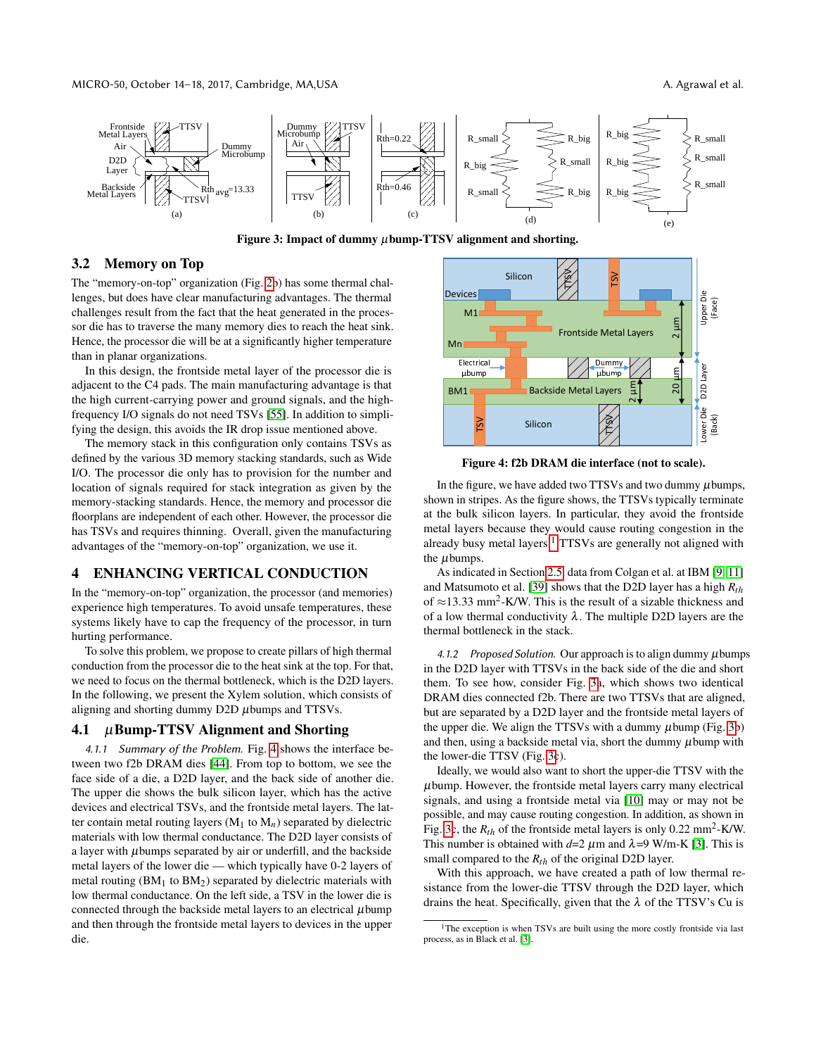MICRO-50, October 14–18, 2017, Cambridge, MA,USA A. Agrawal et al. Agrawal et al.

<span id="page-3-1"></span>

Figure 3: Impact of dummy  $\mu$ bump-TTSV alignment and shorting.

## 3.2 Memory on Top

The "memory-on-top" organization (Fig. [2b](#page-2-1)) has some thermal challenges, but does have clear manufacturing advantages. The thermal challenges result from the fact that the heat generated in the processor die has to traverse the many memory dies to reach the heat sink. Hence, the processor die will be at a significantly higher temperature than in planar organizations.

In this design, the frontside metal layer of the processor die is adjacent to the C4 pads. The main manufacturing advantage is that the high current-carrying power and ground signals, and the highfrequency I/O signals do not need TSVs [\[55\]](#page-13-10). In addition to simplifying the design, this avoids the IR drop issue mentioned above.

The memory stack in this configuration only contains TSVs as defined by the various 3D memory stacking standards, such as Wide I/O. The processor die only has to provision for the number and location of signals required for stack integration as given by the memory-stacking standards. Hence, the memory and processor die floorplans are independent of each other. However, the processor die has TSVs and requires thinning. Overall, given the manufacturing advantages of the "memory-on-top" organization, we use it.

# 4 ENHANCING VERTICAL CONDUCTION

In the "memory-on-top" organization, the processor (and memories) experience high temperatures. To avoid unsafe temperatures, these systems likely have to cap the frequency of the processor, in turn hurting performance.

To solve this problem, we propose to create pillars of high thermal conduction from the processor die to the heat sink at the top. For that, we need to focus on the thermal bottleneck, which is the D2D layers. In the following, we present the Xylem solution, which consists of aligning and shorting dummy D2D µbumps and TTSVs.

## <span id="page-3-2"></span>4.1  $\mu$ Bump-TTSV Alignment and Shorting

4.1.1 Summary of the Problem. Fig. [4](#page-3-0) shows the interface between two f2b DRAM dies [\[44\]](#page-13-11). From top to bottom, we see the face side of a die, a D2D layer, and the back side of another die. The upper die shows the bulk silicon layer, which has the active devices and electrical TSVs, and the frontside metal layers. The latter contain metal routing layers  $(M_1 \text{ to } M_n)$  separated by dielectric materials with low thermal conductance. The D2D layer consists of a layer with  $\mu$ bumps separated by air or underfill, and the backside metal layers of the lower die — which typically have 0-2 layers of metal routing  $(BM_1$  to  $BM_2$ ) separated by dielectric materials with low thermal conductance. On the left side, a TSV in the lower die is connected through the backside metal layers to an electrical  $\mu$ bump and then through the frontside metal layers to devices in the upper die.

<span id="page-3-0"></span>

Figure 4: f2b DRAM die interface (not to scale).

In the figure, we have added two TTSVs and two dummy  $\mu$ bumps, shown in stripes. As the figure shows, the TTSVs typically terminate at the bulk silicon layers. In particular, they avoid the frontside metal layers because they would cause routing congestion in the already busy metal layers.<sup>[1](#page-0-0)</sup> TTSVs are generally not aligned with the  $\mu$ bumps.

As indicated in Section [2.5,](#page-2-2) data from Colgan et al. at IBM [\[9,](#page-11-4) [11\]](#page-11-5) and Matsumoto et al. [\[39\]](#page-12-5) shows that the D2D layer has a high *Rth* of  $\approx$ 13.33 mm<sup>2</sup>-K/W. This is the result of a sizable thickness and of a low thermal conductivity  $\lambda$ . The multiple D2D layers are the thermal bottleneck in the stack.

4.1.2 Proposed Solution. Our approach is to align dummy  $\mu$  bumps in the D2D layer with TTSVs in the back side of the die and short them. To see how, consider Fig. [3a](#page-3-1), which shows two identical DRAM dies connected f2b. There are two TTSVs that are aligned, but are separated by a D2D layer and the frontside metal layers of the upper die. We align the TTSVs with a dummy  $\mu$ bump (Fig. [3b](#page-3-1)) and then, using a backside metal via, short the dummy  $\mu$  bump with the lower-die TTSV (Fig. [3c](#page-3-1)).

Ideally, we would also want to short the upper-die TTSV with the  $\mu$ bump. However, the frontside metal layers carry many electrical signals, and using a frontside metal via [\[10\]](#page-11-9) may or may not be possible, and may cause routing congestion. In addition, as shown in Fig. [3c](#page-3-1), the  $R_{th}$  of the frontside metal layers is only 0.22 mm<sup>2</sup>-K/W. This number is obtained with  $d=2 \mu m$  and  $\lambda=9$  W/m-K [\[3\]](#page-11-8). This is small compared to the *Rth* of the original D2D layer.

With this approach, we have created a path of low thermal resistance from the lower-die TTSV through the D2D layer, which drains the heat. Specifically, given that the  $\lambda$  of the TTSV's Cu is

<sup>&</sup>lt;sup>1</sup>The exception is when TSVs are built using the more costly frontside via last process, as in Black et al. [\[3\]](#page-11-8).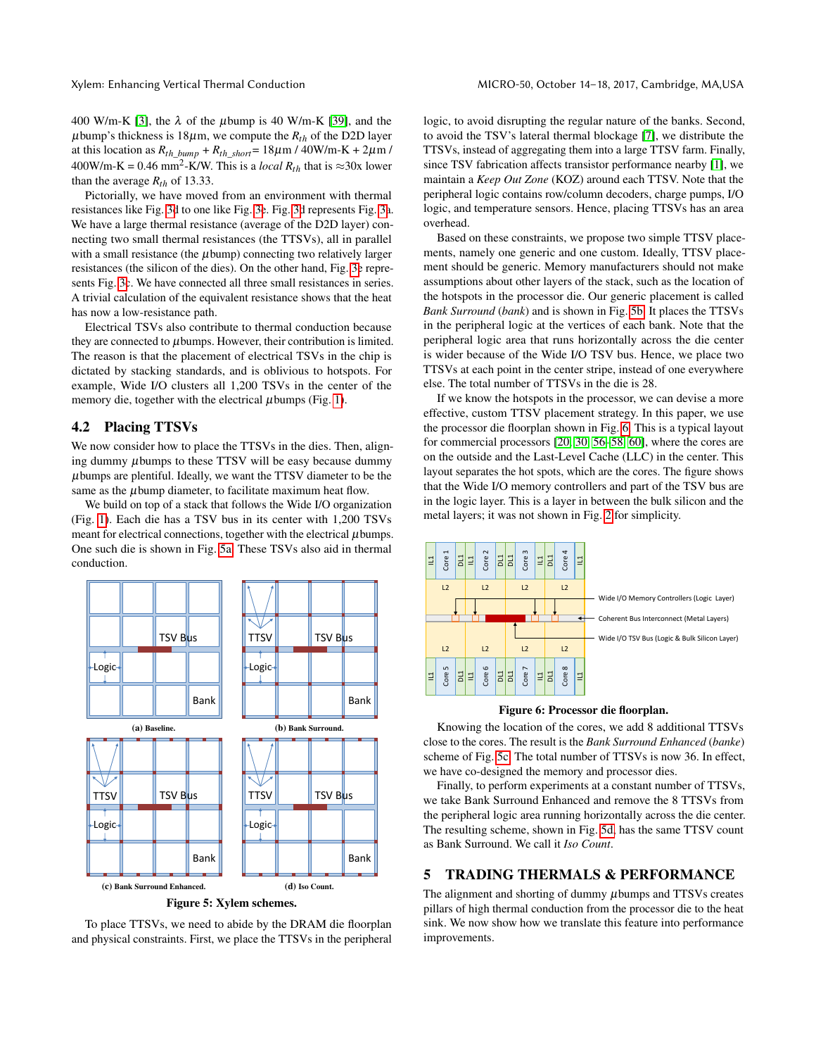400 W/m-K [\[3\]](#page-11-8), the  $\lambda$  of the  $\mu$ bump is 40 W/m-K [\[39\]](#page-12-5), and the  $\mu$ bump's thickness is 18 $\mu$ m, we compute the  $R_{th}$  of the D2D layer at this location as  $R_{th\_bump} + R_{th\_short} = 18 \mu m / 40 W/m-K + 2 \mu m /$  $400W/m-K = 0.46$  mm<sup>2</sup>-K/W. This is a *local*  $R_{th}$  that is  $\approx 30x$  lower than the average  $R_{th}$  of 13.33.

Pictorially, we have moved from an environment with thermal resistances like Fig. [3d](#page-3-1) to one like Fig. [3e](#page-3-1). Fig. [3d](#page-3-1) represents Fig. [3a](#page-3-1). We have a large thermal resistance (average of the D2D layer) connecting two small thermal resistances (the TTSVs), all in parallel with a small resistance (the  $\mu$ bump) connecting two relatively larger resistances (the silicon of the dies). On the other hand, Fig. [3e](#page-3-1) represents Fig. [3c](#page-3-1). We have connected all three small resistances in series. A trivial calculation of the equivalent resistance shows that the heat has now a low-resistance path.

Electrical TSVs also contribute to thermal conduction because they are connected to  $\mu$  bumps. However, their contribution is limited. The reason is that the placement of electrical TSVs in the chip is dictated by stacking standards, and is oblivious to hotspots. For example, Wide I/O clusters all 1,200 TSVs in the center of the memory die, together with the electrical  $\mu$ bumps (Fig. [1\)](#page-2-0).

## 4.2 Placing TTSVs

We now consider how to place the TTSVs in the dies. Then, aligning dummy  $\mu$ bumps to these TTSV will be easy because dummy  $\mu$ bumps are plentiful. Ideally, we want the TTSV diameter to be the same as the  $\mu$ bump diameter, to facilitate maximum heat flow.

We build on top of a stack that follows the Wide I/O organization (Fig. [1\)](#page-2-0). Each die has a TSV bus in its center with 1,200 TSVs meant for electrical connections, together with the electrical  $\mu$ bumps. One such die is shown in Fig. [5a.](#page-4-0) These TSVs also aid in thermal conduction.

<span id="page-4-5"></span><span id="page-4-0"></span>

<span id="page-4-4"></span>

<span id="page-4-3"></span>To place TTSVs, we need to abide by the DRAM die floorplan and physical constraints. First, we place the TTSVs in the peripheral logic, to avoid disrupting the regular nature of the banks. Second, to avoid the TSV's lateral thermal blockage [\[7\]](#page-11-10), we distribute the TTSVs, instead of aggregating them into a large TTSV farm. Finally, since TSV fabrication affects transistor performance nearby [\[1\]](#page-11-11), we maintain a *Keep Out Zone* (KOZ) around each TTSV. Note that the peripheral logic contains row/column decoders, charge pumps, I/O logic, and temperature sensors. Hence, placing TTSVs has an area overhead.

Based on these constraints, we propose two simple TTSV placements, namely one generic and one custom. Ideally, TTSV placement should be generic. Memory manufacturers should not make assumptions about other layers of the stack, such as the location of the hotspots in the processor die. Our generic placement is called *Bank Surround* (*bank*) and is shown in Fig. [5b.](#page-4-1) It places the TTSVs in the peripheral logic at the vertices of each bank. Note that the peripheral logic area that runs horizontally across the die center is wider because of the Wide I/O TSV bus. Hence, we place two TTSVs at each point in the center stripe, instead of one everywhere else. The total number of TTSVs in the die is 28.

If we know the hotspots in the processor, we can devise a more effective, custom TTSV placement strategy. In this paper, we use the processor die floorplan shown in Fig. [6.](#page-4-2) This is a typical layout for commercial processors [\[20,](#page-12-14) [30,](#page-12-15) [56](#page-13-12)[–58,](#page-13-13) [60\]](#page-13-14), where the cores are on the outside and the Last-Level Cache (LLC) in the center. This layout separates the hot spots, which are the cores. The figure shows that the Wide I/O memory controllers and part of the TSV bus are in the logic layer. This is a layer in between the bulk silicon and the metal layers; it was not shown in Fig. [2](#page-2-1) for simplicity.

<span id="page-4-2"></span>

#### Figure 6: Processor die floorplan.

<span id="page-4-1"></span>Knowing the location of the cores, we add 8 additional TTSVs close to the cores. The result is the *Bank Surround Enhanced* (*banke*) scheme of Fig. [5c.](#page-4-3) The total number of TTSVs is now 36. In effect, we have co-designed the memory and processor dies.

Finally, to perform experiments at a constant number of TTSVs, we take Bank Surround Enhanced and remove the 8 TTSVs from the peripheral logic area running horizontally across the die center. The resulting scheme, shown in Fig. [5d,](#page-4-4) has the same TTSV count as Bank Surround. We call it *Iso Count*.

## 5 TRADING THERMALS & PERFORMANCE

The alignment and shorting of dummy  $\mu$ bumps and TTSVs creates pillars of high thermal conduction from the processor die to the heat sink. We now show how we translate this feature into performance improvements.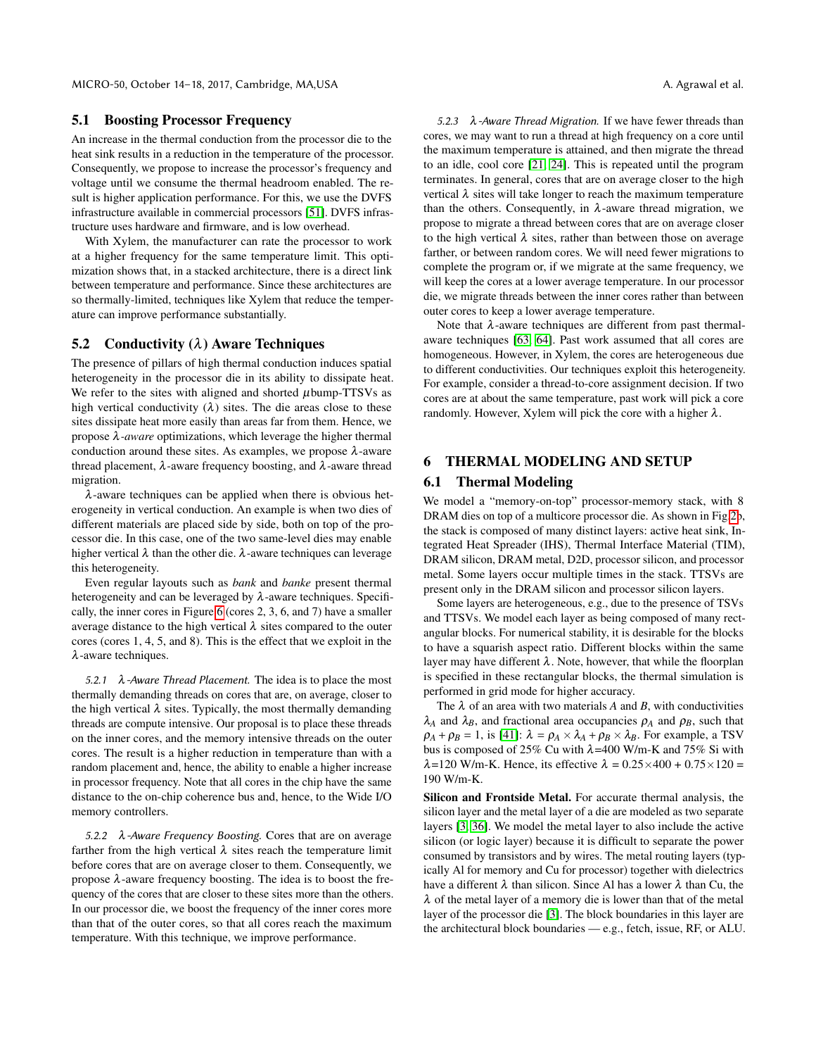## 5.1 Boosting Processor Frequency

An increase in the thermal conduction from the processor die to the heat sink results in a reduction in the temperature of the processor. Consequently, we propose to increase the processor's frequency and voltage until we consume the thermal headroom enabled. The result is higher application performance. For this, we use the DVFS infrastructure available in commercial processors [\[51\]](#page-13-15). DVFS infrastructure uses hardware and firmware, and is low overhead.

With Xylem, the manufacturer can rate the processor to work at a higher frequency for the same temperature limit. This optimization shows that, in a stacked architecture, there is a direct link between temperature and performance. Since these architectures are so thermally-limited, techniques like Xylem that reduce the temperature can improve performance substantially.

#### <span id="page-5-1"></span>5.2 Conductivity  $(\lambda)$  Aware Techniques

The presence of pillars of high thermal conduction induces spatial heterogeneity in the processor die in its ability to dissipate heat. We refer to the sites with aligned and shorted  $\mu$ bump-TTSVs as high vertical conductivity  $(\lambda)$  sites. The die areas close to these sites dissipate heat more easily than areas far from them. Hence, we propose λ*-aware* optimizations, which leverage the higher thermal conduction around these sites. As examples, we propose  $\lambda$ -aware thread placement,  $λ$ -aware frequency boosting, and  $λ$ -aware thread migration.

 $\lambda$ -aware techniques can be applied when there is obvious heterogeneity in vertical conduction. An example is when two dies of different materials are placed side by side, both on top of the processor die. In this case, one of the two same-level dies may enable higher vertical  $\lambda$  than the other die.  $\lambda$ -aware techniques can leverage this heterogeneity.

Even regular layouts such as *bank* and *banke* present thermal heterogeneity and can be leveraged by  $\lambda$ -aware techniques. Specifically, the inner cores in Figure [6](#page-4-2) (cores 2, 3, 6, and 7) have a smaller average distance to the high vertical  $\lambda$  sites compared to the outer cores (cores 1, 4, 5, and 8). This is the effect that we exploit in the λ-aware techniques.

5.2.1  $\lambda$ -Aware Thread Placement. The idea is to place the most thermally demanding threads on cores that are, on average, closer to the high vertical  $\lambda$  sites. Typically, the most thermally demanding threads are compute intensive. Our proposal is to place these threads on the inner cores, and the memory intensive threads on the outer cores. The result is a higher reduction in temperature than with a random placement and, hence, the ability to enable a higher increase in processor frequency. Note that all cores in the chip have the same distance to the on-chip coherence bus and, hence, to the Wide I/O memory controllers.

5.2.2 λ-Aware Frequency Boosting. Cores that are on average farther from the high vertical  $\lambda$  sites reach the temperature limit before cores that are on average closer to them. Consequently, we propose λ-aware frequency boosting. The idea is to boost the frequency of the cores that are closer to these sites more than the others. In our processor die, we boost the frequency of the inner cores more than that of the outer cores, so that all cores reach the maximum temperature. With this technique, we improve performance.

5.2.3  $\lambda$ -Aware Thread Migration. If we have fewer threads than cores, we may want to run a thread at high frequency on a core until the maximum temperature is attained, and then migrate the thread to an idle, cool core [\[21,](#page-12-16) [24\]](#page-12-17). This is repeated until the program terminates. In general, cores that are on average closer to the high vertical λ sites will take longer to reach the maximum temperature than the others. Consequently, in  $\lambda$ -aware thread migration, we propose to migrate a thread between cores that are on average closer to the high vertical  $\lambda$  sites, rather than between those on average farther, or between random cores. We will need fewer migrations to complete the program or, if we migrate at the same frequency, we will keep the cores at a lower average temperature. In our processor die, we migrate threads between the inner cores rather than between outer cores to keep a lower average temperature.

Note that  $\lambda$ -aware techniques are different from past thermalaware techniques [\[63,](#page-13-16) [64\]](#page-13-17). Past work assumed that all cores are homogeneous. However, in Xylem, the cores are heterogeneous due to different conductivities. Our techniques exploit this heterogeneity. For example, consider a thread-to-core assignment decision. If two cores are at about the same temperature, past work will pick a core randomly. However, Xylem will pick the core with a higher  $\lambda$ .

# <span id="page-5-0"></span>6 THERMAL MODELING AND SETUP

## 6.1 Thermal Modeling

We model a "memory-on-top" processor-memory stack, with 8 DRAM dies on top of a multicore processor die. As shown in Fig[.2b](#page-2-1), the stack is composed of many distinct layers: active heat sink, Integrated Heat Spreader (IHS), Thermal Interface Material (TIM), DRAM silicon, DRAM metal, D2D, processor silicon, and processor metal. Some layers occur multiple times in the stack. TTSVs are present only in the DRAM silicon and processor silicon layers.

Some layers are heterogeneous, e.g., due to the presence of TSVs and TTSVs. We model each layer as being composed of many rectangular blocks. For numerical stability, it is desirable for the blocks to have a squarish aspect ratio. Different blocks within the same layer may have different  $\lambda$ . Note, however, that while the floorplan is specified in these rectangular blocks, the thermal simulation is performed in grid mode for higher accuracy.

The  $\lambda$  of an area with two materials  $A$  and  $B$ , with conductivities  $\lambda_A$  and  $\lambda_B$ , and fractional area occupancies  $\rho_A$  and  $\rho_B$ , such that  $\rho_A + \rho_B = 1$ , is [\[41\]](#page-12-18):  $\lambda = \rho_A \times \lambda_A + \rho_B \times \lambda_B$ . For example, a TSV bus is composed of 25% Cu with  $\lambda$ =400 W/m-K and 75% Si with  $\lambda$ =120 W/m-K. Hence, its effective  $\lambda$  = 0.25×400 + 0.75×120 = 190 W/m-K.

Silicon and Frontside Metal. For accurate thermal analysis, the silicon layer and the metal layer of a die are modeled as two separate layers [\[3,](#page-11-8) [36\]](#page-12-3). We model the metal layer to also include the active silicon (or logic layer) because it is difficult to separate the power consumed by transistors and by wires. The metal routing layers (typically Al for memory and Cu for processor) together with dielectrics have a different  $\lambda$  than silicon. Since Al has a lower  $\lambda$  than Cu, the  $\lambda$  of the metal layer of a memory die is lower than that of the metal layer of the processor die [\[3\]](#page-11-8). The block boundaries in this layer are the architectural block boundaries — e.g., fetch, issue, RF, or ALU.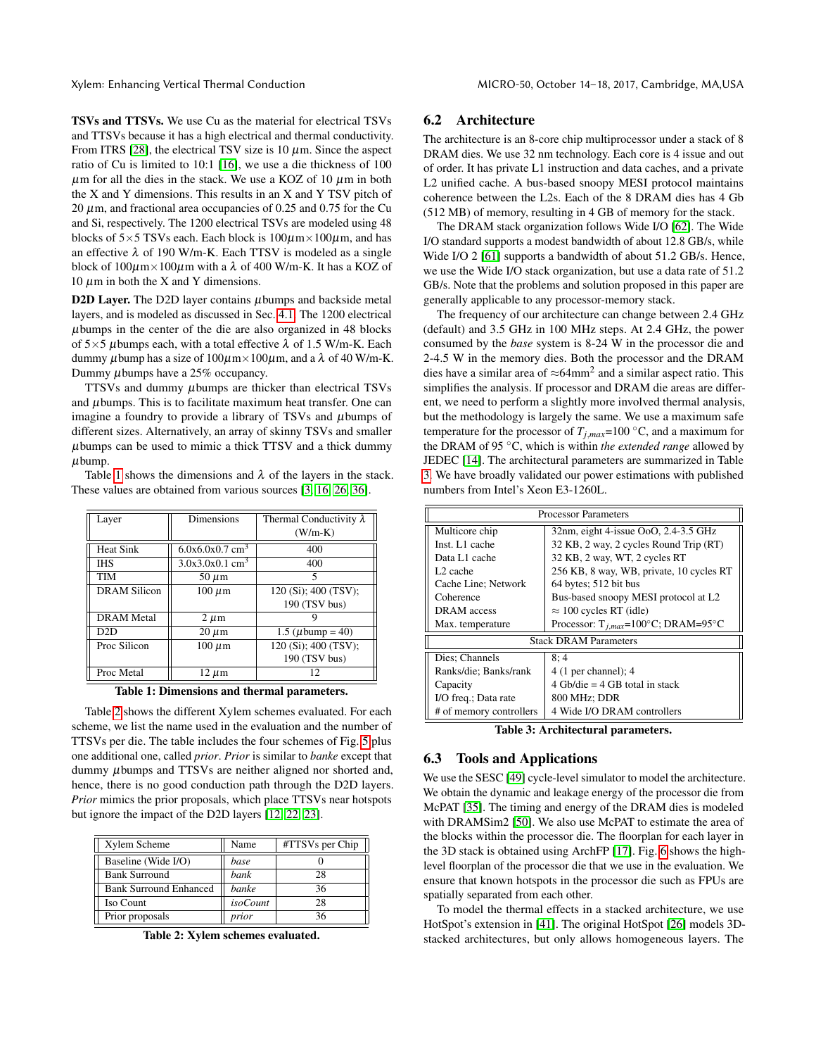TSVs and TTSVs. We use Cu as the material for electrical TSVs and TTSVs because it has a high electrical and thermal conductivity. From ITRS [\[28\]](#page-12-19), the electrical TSV size is 10  $\mu$ m. Since the aspect ratio of Cu is limited to 10:1 [\[16\]](#page-12-8), we use a die thickness of 100  $\mu$ m for all the dies in the stack. We use a KOZ of 10  $\mu$ m in both the X and Y dimensions. This results in an X and Y TSV pitch of  $20 \mu$ m, and fractional area occupancies of 0.25 and 0.75 for the Cu and Si, respectively. The 1200 electrical TSVs are modeled using 48 blocks of  $5\times 5$  TSVs each. Each block is  $100\mu$ m $\times 100\mu$ m, and has an effective  $\lambda$  of 190 W/m-K. Each TTSV is modeled as a single block of  $100\mu$ m $\times$ 100 $\mu$ m with a  $\lambda$  of 400 W/m-K. It has a KOZ of 10  $\mu$ m in both the X and Y dimensions.

D2D Layer. The D2D layer contains  $\mu$ bumps and backside metal layers, and is modeled as discussed in Sec. [4.1.](#page-3-2) The 1200 electrical  $\mu$ bumps in the center of the die are also organized in 48 blocks of  $5\times5$  µbumps each, with a total effective  $\lambda$  of 1.5 W/m-K. Each dummy  $\mu$ bump has a size of  $100\mu$ m $\times$   $100\mu$ m, and a  $\lambda$  of 40 W/m-K. Dummy  $\mu$ bumps have a 25% occupancy.

TTSVs and dummy  $\mu$ bumps are thicker than electrical TSVs and  $\mu$ bumps. This is to facilitate maximum heat transfer. One can imagine a foundry to provide a library of TSVs and  $\mu$ bumps of different sizes. Alternatively, an array of skinny TSVs and smaller  $\mu$ bumps can be used to mimic a thick TTSV and a thick dummy  $\mu$ bump.

Table [1](#page-6-0) shows the dimensions and  $\lambda$  of the layers in the stack. These values are obtained from various sources [\[3,](#page-11-8) [16,](#page-12-8) [26,](#page-12-20) [36\]](#page-12-3).

<span id="page-6-0"></span>

| Layer               | Dimensions                    | Thermal Conductivity $\lambda$ |
|---------------------|-------------------------------|--------------------------------|
|                     |                               | $(W/m-K)$                      |
| <b>Heat Sink</b>    | $6.0x6.0x0.7$ cm <sup>3</sup> | 400                            |
| <b>IHS</b>          | $3.0x3.0x0.1$ cm <sup>3</sup> | 400                            |
| <b>TIM</b>          | $50 \mu m$                    | 5                              |
| <b>DRAM Silicon</b> | $100 \ \mu m$                 | 120 (Si); 400 (TSV);           |
|                     |                               | 190 (TSV bus)                  |
| <b>DRAM</b> Metal   | $2 \mu m$                     |                                |
| D2D                 | $20 \mu m$                    | 1.5 ( $\mu$ bump = 40)         |
| Proc Silicon        | $100 \ \mu m$                 | 120 (Si); 400 (TSV);           |
|                     |                               | 190 (TSV bus)                  |
| Proc Metal          | 12 µm                         | 12                             |

Table 1: Dimensions and thermal parameters.

Table [2](#page-6-1) shows the different Xylem schemes evaluated. For each scheme, we list the name used in the evaluation and the number of TTSVs per die. The table includes the four schemes of Fig. [5](#page-4-5) plus one additional one, called *prior*. *Prior* is similar to *banke* except that dummy µbumps and TTSVs are neither aligned nor shorted and, hence, there is no good conduction path through the D2D layers. *Prior* mimics the prior proposals, which place TTSVs near hotspots but ignore the impact of the D2D layers [\[12,](#page-11-3) [22,](#page-12-1) [23\]](#page-12-2).

<span id="page-6-1"></span>

| Xylem Scheme                  | Name            | #TTSVs per Chip |
|-------------------------------|-----------------|-----------------|
| Baseline (Wide I/O)           | base            |                 |
| <b>Bank Surround</b>          | bank            | 28              |
| <b>Bank Surround Enhanced</b> | banke           | 36              |
| Iso Count                     | <i>isoCount</i> | 28              |
| Prior proposals               | prior           | 36              |

Table 2: Xylem schemes evaluated.

## 6.2 Architecture

The architecture is an 8-core chip multiprocessor under a stack of 8 DRAM dies. We use 32 nm technology. Each core is 4 issue and out of order. It has private L1 instruction and data caches, and a private L2 unified cache. A bus-based snoopy MESI protocol maintains coherence between the L2s. Each of the 8 DRAM dies has 4 Gb (512 MB) of memory, resulting in 4 GB of memory for the stack.

The DRAM stack organization follows Wide I/O [\[62\]](#page-13-6). The Wide I/O standard supports a modest bandwidth of about 12.8 GB/s, while Wide I/O 2 [\[61\]](#page-13-7) supports a bandwidth of about 51.2 GB/s. Hence, we use the Wide I/O stack organization, but use a data rate of 51.2 GB/s. Note that the problems and solution proposed in this paper are generally applicable to any processor-memory stack.

The frequency of our architecture can change between 2.4 GHz (default) and 3.5 GHz in 100 MHz steps. At 2.4 GHz, the power consumed by the *base* system is 8-24 W in the processor die and 2-4.5 W in the memory dies. Both the processor and the DRAM dies have a similar area of  $\approx 64$ mm<sup>2</sup> and a similar aspect ratio. This simplifies the analysis. If processor and DRAM die areas are different, we need to perform a slightly more involved thermal analysis, but the methodology is largely the same. We use a maximum safe temperature for the processor of  $T_{j,max}=100$  °C, and a maximum for the DRAM of 95 ◦C, which is within *the extended range* allowed by JEDEC [\[14\]](#page-12-21). The architectural parameters are summarized in Table [3.](#page-6-2) We have broadly validated our power estimations with published numbers from Intel's Xeon E3-1260L.

<span id="page-6-2"></span>

| <b>Processor Parameters</b>  |                                                   |  |
|------------------------------|---------------------------------------------------|--|
| Multicore chip               | 32nm, eight 4-issue OoO, 2.4-3.5 GHz              |  |
| Inst. L1 cache               | 32 KB, 2 way, 2 cycles Round Trip (RT)            |  |
| Data L1 cache                | 32 KB, 2 way, WT, 2 cycles RT                     |  |
| L <sub>2</sub> cache         | 256 KB, 8 way, WB, private, 10 cycles RT          |  |
| Cache Line; Network          | 64 bytes; 512 bit bus                             |  |
| Coherence                    | Bus-based snoopy MESI protocol at L2              |  |
| DRAM access                  | $\approx$ 100 cycles RT (idle)                    |  |
| Max. temperature             | Processor: $T_{i,max} = 100^{\circ}C$ ; DRAM=95°C |  |
| <b>Stack DRAM Parameters</b> |                                                   |  |
| Dies; Channels               | 8:4                                               |  |
| Ranks/die; Banks/rank        | $4(1$ per channel); $4$                           |  |
| Capacity                     | 4 Gb/die = 4 GB total in stack                    |  |
| I/O freq.; Data rate         | 800 MHz; DDR                                      |  |
| # of memory controllers      | 4 Wide I/O DRAM controllers                       |  |

Table 3: Architectural parameters.

#### 6.3 Tools and Applications

We use the SESC [\[49\]](#page-13-18) cycle-level simulator to model the architecture. We obtain the dynamic and leakage energy of the processor die from McPAT [\[35\]](#page-12-22). The timing and energy of the DRAM dies is modeled with DRAMSim2 [\[50\]](#page-13-19). We also use McPAT to estimate the area of the blocks within the processor die. The floorplan for each layer in the 3D stack is obtained using ArchFP [\[17\]](#page-12-23). Fig. [6](#page-4-2) shows the highlevel floorplan of the processor die that we use in the evaluation. We ensure that known hotspots in the processor die such as FPUs are spatially separated from each other.

To model the thermal effects in a stacked architecture, we use HotSpot's extension in [\[41\]](#page-12-18). The original HotSpot [\[26\]](#page-12-20) models 3Dstacked architectures, but only allows homogeneous layers. The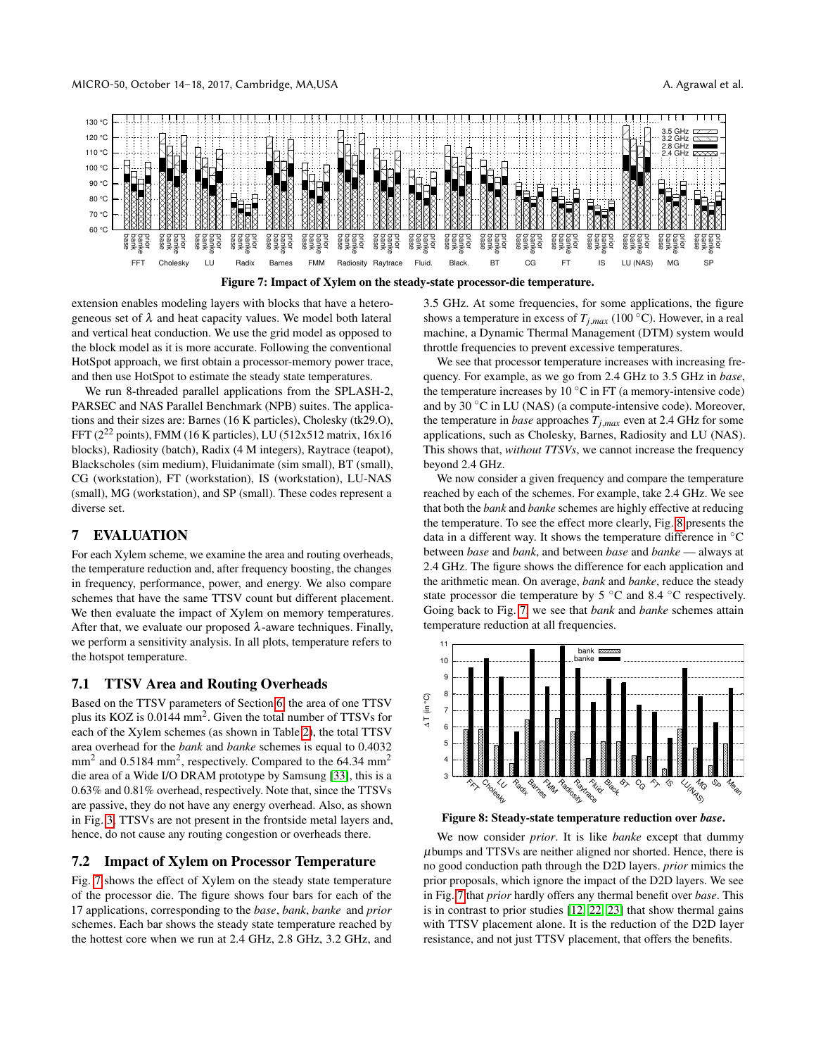<span id="page-7-0"></span>

extension enables modeling layers with blocks that have a heterogeneous set of  $\lambda$  and heat capacity values. We model both lateral and vertical heat conduction. We use the grid model as opposed to the block model as it is more accurate. Following the conventional HotSpot approach, we first obtain a processor-memory power trace, and then use HotSpot to estimate the steady state temperatures.

We run 8-threaded parallel applications from the SPLASH-2, PARSEC and NAS Parallel Benchmark (NPB) suites. The applications and their sizes are: Barnes (16 K particles), Cholesky (tk29.O), FFT (2<sup>22</sup> points), FMM (16 K particles), LU (512x512 matrix, 16x16 blocks), Radiosity (batch), Radix (4 M integers), Raytrace (teapot), Blackscholes (sim medium), Fluidanimate (sim small), BT (small), CG (workstation), FT (workstation), IS (workstation), LU-NAS (small), MG (workstation), and SP (small). These codes represent a diverse set.

# 7 EVALUATION

For each Xylem scheme, we examine the area and routing overheads, the temperature reduction and, after frequency boosting, the changes in frequency, performance, power, and energy. We also compare schemes that have the same TTSV count but different placement. We then evaluate the impact of Xylem on memory temperatures. After that, we evaluate our proposed  $\lambda$ -aware techniques. Finally, we perform a sensitivity analysis. In all plots, temperature refers to the hotspot temperature.

## 7.1 TTSV Area and Routing Overheads

Based on the TTSV parameters of Section [6,](#page-5-0) the area of one TTSV plus its KOZ is 0.0144 mm<sup>2</sup>. Given the total number of TTSVs for each of the Xylem schemes (as shown in Table [2\)](#page-6-1), the total TTSV area overhead for the *bank* and *banke* schemes is equal to 0.4032  $mm<sup>2</sup>$  and 0.5184 mm<sup>2</sup>, respectively. Compared to the 64.34 mm<sup>2</sup> die area of a Wide I/O DRAM prototype by Samsung [\[33\]](#page-12-9), this is a 0.63% and 0.81% overhead, respectively. Note that, since the TTSVs are passive, they do not have any energy overhead. Also, as shown in Fig. [3,](#page-3-1) TTSVs are not present in the frontside metal layers and, hence, do not cause any routing congestion or overheads there.

# 7.2 Impact of Xylem on Processor Temperature

Fig. [7](#page-7-0) shows the effect of Xylem on the steady state temperature of the processor die. The figure shows four bars for each of the 17 applications, corresponding to the *base*, *bank*, *banke* and *prior* schemes. Each bar shows the steady state temperature reached by the hottest core when we run at 2.4 GHz, 2.8 GHz, 3.2 GHz, and 3.5 GHz. At some frequencies, for some applications, the figure shows a temperature in excess of  $T_{j,max}$  (100 °C). However, in a real machine, a Dynamic Thermal Management (DTM) system would throttle frequencies to prevent excessive temperatures.

We see that processor temperature increases with increasing frequency. For example, as we go from 2.4 GHz to 3.5 GHz in *base*, the temperature increases by 10  $\degree$ C in FT (a memory-intensive code) and by 30 ◦C in LU (NAS) (a compute-intensive code). Moreover, the temperature in *base* approaches  $T_{j,max}$  even at 2.4 GHz for some applications, such as Cholesky, Barnes, Radiosity and LU (NAS). This shows that, *without TTSVs*, we cannot increase the frequency beyond 2.4 GHz.

We now consider a given frequency and compare the temperature reached by each of the schemes. For example, take 2.4 GHz. We see that both the *bank* and *banke* schemes are highly effective at reducing the temperature. To see the effect more clearly, Fig. [8](#page-7-1) presents the data in a different way. It shows the temperature difference in  $°C$ between *base* and *bank*, and between *base* and *banke* — always at 2.4 GHz. The figure shows the difference for each application and the arithmetic mean. On average, *bank* and *banke*, reduce the steady state processor die temperature by 5 ◦C and 8.4 ◦C respectively. Going back to Fig. [7,](#page-7-0) we see that *bank* and *banke* schemes attain temperature reduction at all frequencies.

<span id="page-7-1"></span>

Figure 8: Steady-state temperature reduction over *base*.

We now consider *prior*. It is like *banke* except that dummy  $\mu$ bumps and TTSVs are neither aligned nor shorted. Hence, there is no good conduction path through the D2D layers. *prior* mimics the prior proposals, which ignore the impact of the D2D layers. We see in Fig. [7](#page-7-0) that *prior* hardly offers any thermal benefit over *base*. This is in contrast to prior studies [\[12,](#page-11-3) [22,](#page-12-1) [23\]](#page-12-2) that show thermal gains with TTSV placement alone. It is the reduction of the D2D layer resistance, and not just TTSV placement, that offers the benefits.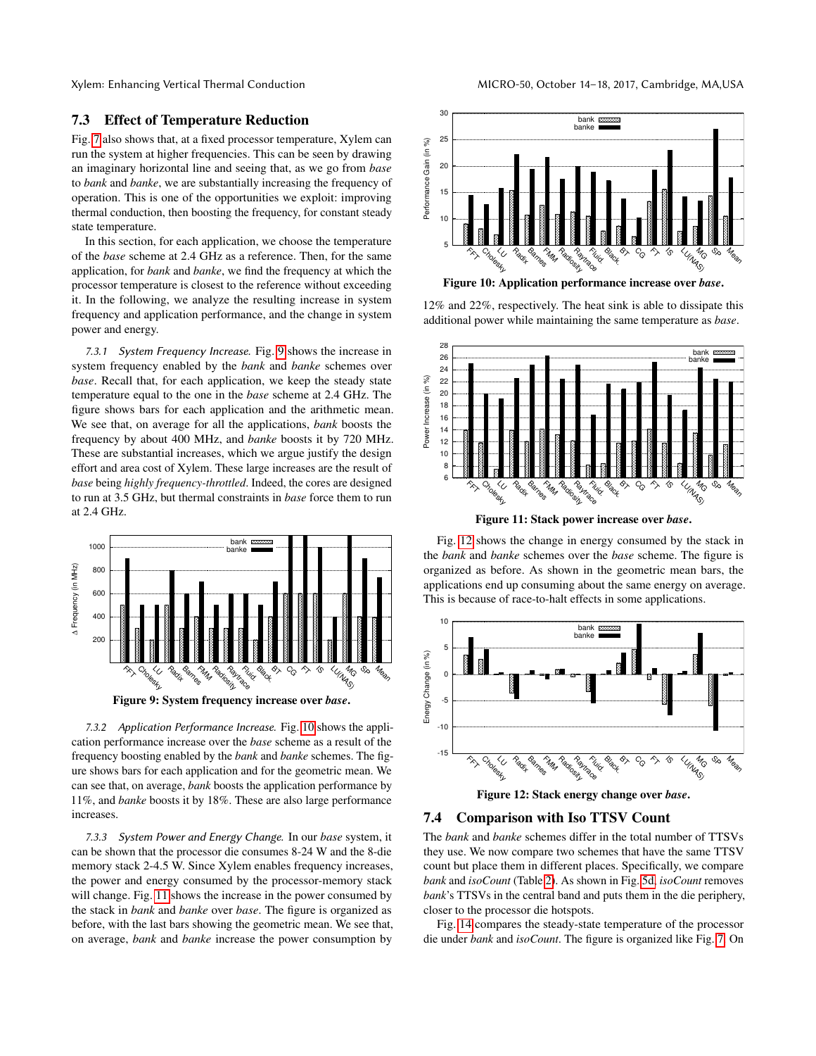# 7.3 Effect of Temperature Reduction

Fig. [7](#page-7-0) also shows that, at a fixed processor temperature, Xylem can run the system at higher frequencies. This can be seen by drawing an imaginary horizontal line and seeing that, as we go from *base* to *bank* and *banke*, we are substantially increasing the frequency of operation. This is one of the opportunities we exploit: improving thermal conduction, then boosting the frequency, for constant steady state temperature.

In this section, for each application, we choose the temperature of the *base* scheme at 2.4 GHz as a reference. Then, for the same application, for *bank* and *banke*, we find the frequency at which the processor temperature is closest to the reference without exceeding it. In the following, we analyze the resulting increase in system frequency and application performance, and the change in system power and energy.

7.3.1 System Frequency Increase. Fig. [9](#page-8-0) shows the increase in system frequency enabled by the *bank* and *banke* schemes over *base*. Recall that, for each application, we keep the steady state temperature equal to the one in the *base* scheme at 2.4 GHz. The figure shows bars for each application and the arithmetic mean. We see that, on average for all the applications, *bank* boosts the frequency by about 400 MHz, and *banke* boosts it by 720 MHz. These are substantial increases, which we argue justify the design effort and area cost of Xylem. These large increases are the result of *base* being *highly frequency-throttled*. Indeed, the cores are designed to run at 3.5 GHz, but thermal constraints in *base* force them to run at 2.4 GHz.

<span id="page-8-0"></span>

Figure 9: System frequency increase over *base*.

7.3.2 Application Performance Increase. Fig. [10](#page-8-1) shows the application performance increase over the *base* scheme as a result of the frequency boosting enabled by the *bank* and *banke* schemes. The figure shows bars for each application and for the geometric mean. We can see that, on average, *bank* boosts the application performance by 11%, and *banke* boosts it by 18%. These are also large performance increases.

7.3.3 System Power and Energy Change. In our *base* system, it can be shown that the processor die consumes 8-24 W and the 8-die memory stack 2-4.5 W. Since Xylem enables frequency increases, the power and energy consumed by the processor-memory stack will change. Fig. [11](#page-8-2) shows the increase in the power consumed by the stack in *bank* and *banke* over *base*. The figure is organized as before, with the last bars showing the geometric mean. We see that, on average, *bank* and *banke* increase the power consumption by

<span id="page-8-1"></span>

12% and 22%, respectively. The heat sink is able to dissipate this additional power while maintaining the same temperature as *base*.

<span id="page-8-2"></span>

Figure 11: Stack power increase over *base*.

Fig. [12](#page-8-3) shows the change in energy consumed by the stack in the *bank* and *banke* schemes over the *base* scheme. The figure is organized as before. As shown in the geometric mean bars, the applications end up consuming about the same energy on average. This is because of race-to-halt effects in some applications.

<span id="page-8-3"></span>

Figure 12: Stack energy change over *base*.

## 7.4 Comparison with Iso TTSV Count

The *bank* and *banke* schemes differ in the total number of TTSVs they use. We now compare two schemes that have the same TTSV count but place them in different places. Specifically, we compare *bank* and *isoCount* (Table [2\)](#page-6-1). As shown in Fig. [5d,](#page-4-4) *isoCount* removes *bank*'s TTSVs in the central band and puts them in the die periphery, closer to the processor die hotspots.

Fig. [14](#page-9-0) compares the steady-state temperature of the processor die under *bank* and *isoCount*. The figure is organized like Fig. [7.](#page-7-0) On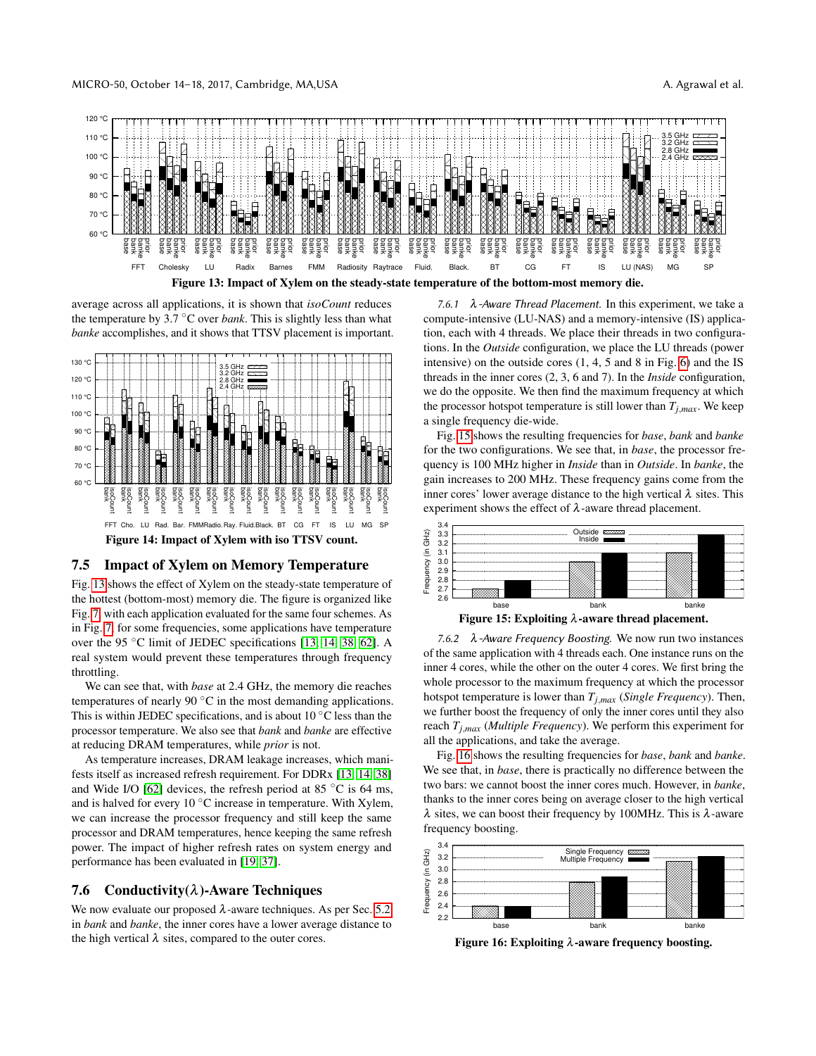<span id="page-9-1"></span>

average across all applications, it is shown that *isoCount* reduces the temperature by  $3.7 \text{ °C}$  over *bank*. This is slightly less than what *banke* accomplishes, and it shows that TTSV placement is important.

<span id="page-9-0"></span>

Figure 14: Impact of Xylem with iso TTSV count.

# 7.5 Impact of Xylem on Memory Temperature

Fig. [13](#page-9-1) shows the effect of Xylem on the steady-state temperature of the hottest (bottom-most) memory die. The figure is organized like Fig. [7,](#page-7-0) with each application evaluated for the same four schemes. As in Fig. [7,](#page-7-0) for some frequencies, some applications have temperature over the 95 ◦C limit of JEDEC specifications [\[13,](#page-12-24) [14,](#page-12-21) [38,](#page-12-25) [62\]](#page-13-6). A real system would prevent these temperatures through frequency throttling.

We can see that, with *base* at 2.4 GHz, the memory die reaches temperatures of nearly 90 ◦C in the most demanding applications. This is within JEDEC specifications, and is about  $10\degree$ C less than the processor temperature. We also see that *bank* and *banke* are effective at reducing DRAM temperatures, while *prior* is not.

As temperature increases, DRAM leakage increases, which manifests itself as increased refresh requirement. For DDRx [\[13,](#page-12-24) [14,](#page-12-21) [38\]](#page-12-25) and Wide I/O [\[62\]](#page-13-6) devices, the refresh period at 85  $\degree$ C is 64 ms, and is halved for every 10  $\degree$ C increase in temperature. With Xylem, we can increase the processor frequency and still keep the same processor and DRAM temperatures, hence keeping the same refresh power. The impact of higher refresh rates on system energy and performance has been evaluated in [\[19,](#page-12-26) [37\]](#page-12-27).

## 7.6 Conductivity( $\lambda$ )-Aware Techniques

We now evaluate our proposed  $\lambda$ -aware techniques. As per Sec. [5.2,](#page-5-1) in *bank* and *banke*, the inner cores have a lower average distance to the high vertical  $\lambda$  sites, compared to the outer cores.

7.6.1  $\lambda$ -Aware Thread Placement. In this experiment, we take a compute-intensive (LU-NAS) and a memory-intensive (IS) application, each with 4 threads. We place their threads in two configurations. In the *Outside* configuration, we place the LU threads (power intensive) on the outside cores (1, 4, 5 and 8 in Fig. [6\)](#page-4-2) and the IS threads in the inner cores (2, 3, 6 and 7). In the *Inside* configuration, we do the opposite. We then find the maximum frequency at which the processor hotspot temperature is still lower than  $T_{i,max}$ . We keep a single frequency die-wide.

Fig. [15](#page-9-2) shows the resulting frequencies for *base*, *bank* and *banke* for the two configurations. We see that, in *base*, the processor frequency is 100 MHz higher in *Inside* than in *Outside*. In *banke*, the gain increases to 200 MHz. These frequency gains come from the inner cores' lower average distance to the high vertical  $\lambda$  sites. This experiment shows the effect of  $\lambda$ -aware thread placement.

<span id="page-9-2"></span>

Figure 15: Exploiting  $\lambda$ -aware thread placement.

7.6.2 λ-Aware Frequency Boosting. We now run two instances of the same application with 4 threads each. One instance runs on the inner 4 cores, while the other on the outer 4 cores. We first bring the whole processor to the maximum frequency at which the processor hotspot temperature is lower than *Tj*,*max* (*Single Frequency*). Then, we further boost the frequency of only the inner cores until they also reach *Tj*,*max* (*Multiple Frequency*). We perform this experiment for all the applications, and take the average.

Fig. [16](#page-9-3) shows the resulting frequencies for *base*, *bank* and *banke*. We see that, in *base*, there is practically no difference between the two bars: we cannot boost the inner cores much. However, in *banke*, thanks to the inner cores being on average closer to the high vertical  $\lambda$  sites, we can boost their frequency by 100MHz. This is  $\lambda$ -aware frequency boosting.

<span id="page-9-3"></span>

Figure 16: Exploiting  $\lambda$ -aware frequency boosting.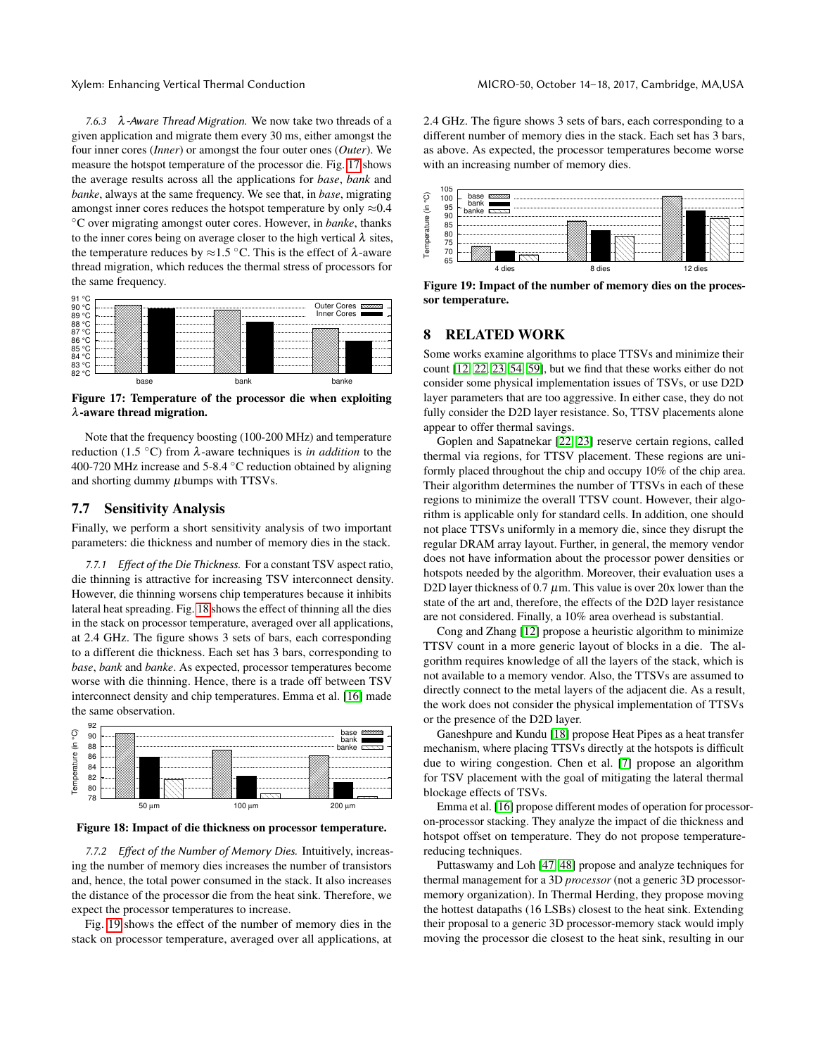7.6.3 λ-Aware Thread Migration. We now take two threads of a given application and migrate them every 30 ms, either amongst the four inner cores (*Inner*) or amongst the four outer ones (*Outer*). We measure the hotspot temperature of the processor die. Fig. [17](#page-10-0) shows the average results across all the applications for *base*, *bank* and *banke*, always at the same frequency. We see that, in *base*, migrating amongst inner cores reduces the hotspot temperature by only  $\approx 0.4$ ◦C over migrating amongst outer cores. However, in *banke*, thanks to the inner cores being on average closer to the high vertical  $\lambda$  sites, the temperature reduces by  $\approx$ 1.5 °C. This is the effect of  $\lambda$ -aware thread migration, which reduces the thermal stress of processors for the same frequency.

<span id="page-10-0"></span>

Figure 17: Temperature of the processor die when exploiting λ-aware thread migration.

Note that the frequency boosting (100-200 MHz) and temperature reduction (1.5  $\textdegree$ C) from λ-aware techniques is *in addition* to the 400-720 MHz increase and 5-8.4  $\degree$ C reduction obtained by aligning and shorting dummy  $\mu$ bumps with TTSVs.

## 7.7 Sensitivity Analysis

Finally, we perform a short sensitivity analysis of two important parameters: die thickness and number of memory dies in the stack.

7.7.1 Effect of the Die Thickness. For a constant TSV aspect ratio, die thinning is attractive for increasing TSV interconnect density. However, die thinning worsens chip temperatures because it inhibits lateral heat spreading. Fig. [18](#page-10-1) shows the effect of thinning all the dies in the stack on processor temperature, averaged over all applications, at 2.4 GHz. The figure shows 3 sets of bars, each corresponding to a different die thickness. Each set has 3 bars, corresponding to *base*, *bank* and *banke*. As expected, processor temperatures become worse with die thinning. Hence, there is a trade off between TSV interconnect density and chip temperatures. Emma et al. [\[16\]](#page-12-8) made the same observation.

<span id="page-10-1"></span>

Figure 18: Impact of die thickness on processor temperature.

7.7.2 Effect of the Number of Memory Dies. Intuitively, increasing the number of memory dies increases the number of transistors and, hence, the total power consumed in the stack. It also increases the distance of the processor die from the heat sink. Therefore, we expect the processor temperatures to increase.

Fig. [19](#page-10-2) shows the effect of the number of memory dies in the stack on processor temperature, averaged over all applications, at 2.4 GHz. The figure shows 3 sets of bars, each corresponding to a different number of memory dies in the stack. Each set has 3 bars, as above. As expected, the processor temperatures become worse with an increasing number of memory dies.

<span id="page-10-2"></span>

Figure 19: Impact of the number of memory dies on the processor temperature.

## 8 RELATED WORK

Some works examine algorithms to place TTSVs and minimize their count [\[12,](#page-11-3) [22,](#page-12-1) [23,](#page-12-2) [54,](#page-13-1) [59\]](#page-13-2), but we find that these works either do not consider some physical implementation issues of TSVs, or use D2D layer parameters that are too aggressive. In either case, they do not fully consider the D2D layer resistance. So, TTSV placements alone appear to offer thermal savings.

Goplen and Sapatnekar [\[22,](#page-12-1) [23\]](#page-12-2) reserve certain regions, called thermal via regions, for TTSV placement. These regions are uniformly placed throughout the chip and occupy 10% of the chip area. Their algorithm determines the number of TTSVs in each of these regions to minimize the overall TTSV count. However, their algorithm is applicable only for standard cells. In addition, one should not place TTSVs uniformly in a memory die, since they disrupt the regular DRAM array layout. Further, in general, the memory vendor does not have information about the processor power densities or hotspots needed by the algorithm. Moreover, their evaluation uses a D2D layer thickness of 0.7  $\mu$ m. This value is over 20x lower than the state of the art and, therefore, the effects of the D2D layer resistance are not considered. Finally, a 10% area overhead is substantial.

Cong and Zhang [\[12\]](#page-11-3) propose a heuristic algorithm to minimize TTSV count in a more generic layout of blocks in a die. The algorithm requires knowledge of all the layers of the stack, which is not available to a memory vendor. Also, the TTSVs are assumed to directly connect to the metal layers of the adjacent die. As a result, the work does not consider the physical implementation of TTSVs or the presence of the D2D layer.

Ganeshpure and Kundu [\[18\]](#page-12-28) propose Heat Pipes as a heat transfer mechanism, where placing TTSVs directly at the hotspots is difficult due to wiring congestion. Chen et al. [\[7\]](#page-11-10) propose an algorithm for TSV placement with the goal of mitigating the lateral thermal blockage effects of TSVs.

Emma et al. [\[16\]](#page-12-8) propose different modes of operation for processoron-processor stacking. They analyze the impact of die thickness and hotspot offset on temperature. They do not propose temperaturereducing techniques.

Puttaswamy and Loh [\[47,](#page-13-20) [48\]](#page-13-21) propose and analyze techniques for thermal management for a 3D *processor* (not a generic 3D processormemory organization). In Thermal Herding, they propose moving the hottest datapaths (16 LSBs) closest to the heat sink. Extending their proposal to a generic 3D processor-memory stack would imply moving the processor die closest to the heat sink, resulting in our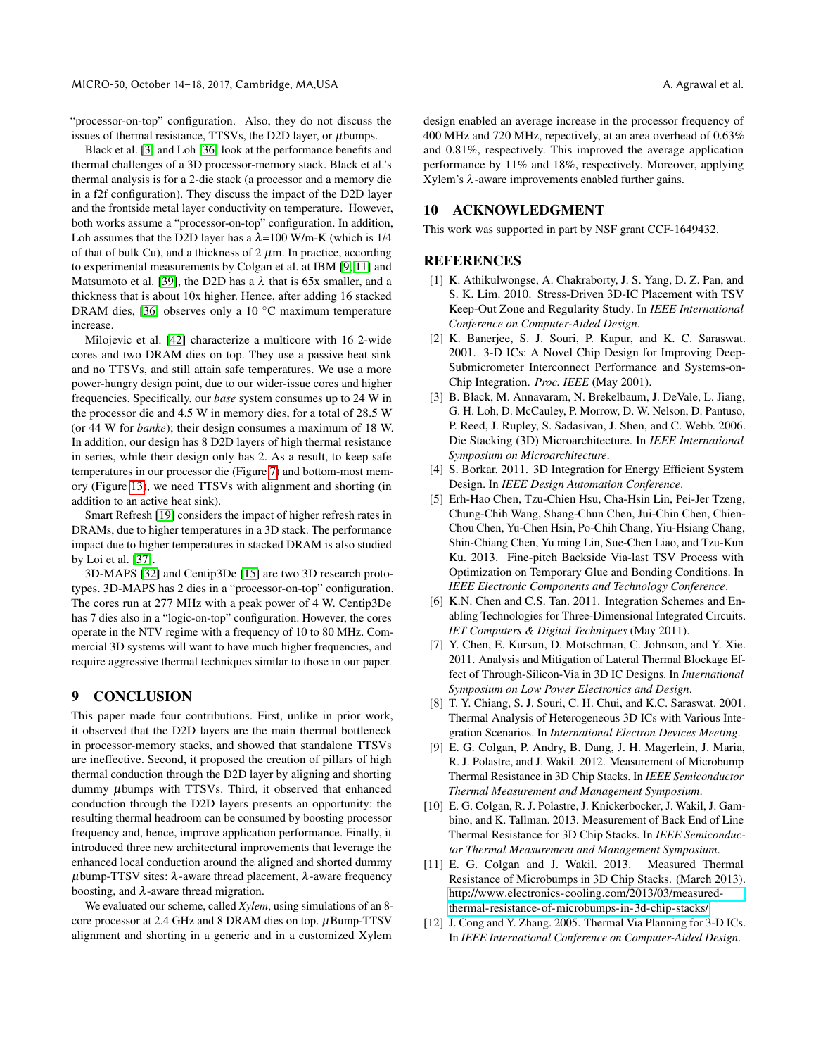"processor-on-top" configuration. Also, they do not discuss the issues of thermal resistance, TTSVs, the D2D layer, or  $\mu$ bumps.

Black et al. [\[3\]](#page-11-8) and Loh [\[36\]](#page-12-3) look at the performance benefits and thermal challenges of a 3D processor-memory stack. Black et al.'s thermal analysis is for a 2-die stack (a processor and a memory die in a f2f configuration). They discuss the impact of the D2D layer and the frontside metal layer conductivity on temperature. However, both works assume a "processor-on-top" configuration. In addition, Loh assumes that the D2D layer has a  $\lambda$ =100 W/m-K (which is 1/4 of that of bulk Cu), and a thickness of  $2 \mu$ m. In practice, according to experimental measurements by Colgan et al. at IBM [\[9,](#page-11-4) [11\]](#page-11-5) and Matsumoto et al. [\[39\]](#page-12-5), the D2D has a  $\lambda$  that is 65x smaller, and a thickness that is about 10x higher. Hence, after adding 16 stacked DRAM dies, [\[36\]](#page-12-3) observes only a 10 ◦C maximum temperature increase.

Milojevic et al. [\[42\]](#page-12-29) characterize a multicore with 16 2-wide cores and two DRAM dies on top. They use a passive heat sink and no TTSVs, and still attain safe temperatures. We use a more power-hungry design point, due to our wider-issue cores and higher frequencies. Specifically, our *base* system consumes up to 24 W in the processor die and 4.5 W in memory dies, for a total of 28.5 W (or 44 W for *banke*); their design consumes a maximum of 18 W. In addition, our design has 8 D2D layers of high thermal resistance in series, while their design only has 2. As a result, to keep safe temperatures in our processor die (Figure [7\)](#page-7-0) and bottom-most memory (Figure [13\)](#page-9-1), we need TTSVs with alignment and shorting (in addition to an active heat sink).

Smart Refresh [\[19\]](#page-12-26) considers the impact of higher refresh rates in DRAMs, due to higher temperatures in a 3D stack. The performance impact due to higher temperatures in stacked DRAM is also studied by Loi et al. [\[37\]](#page-12-27).

3D-MAPS [\[32\]](#page-12-13) and Centip3De [\[15\]](#page-12-12) are two 3D research prototypes. 3D-MAPS has 2 dies in a "processor-on-top" configuration. The cores run at 277 MHz with a peak power of 4 W. Centip3De has 7 dies also in a "logic-on-top" configuration. However, the cores operate in the NTV regime with a frequency of 10 to 80 MHz. Commercial 3D systems will want to have much higher frequencies, and require aggressive thermal techniques similar to those in our paper.

# 9 CONCLUSION

This paper made four contributions. First, unlike in prior work, it observed that the D2D layers are the main thermal bottleneck in processor-memory stacks, and showed that standalone TTSVs are ineffective. Second, it proposed the creation of pillars of high thermal conduction through the D2D layer by aligning and shorting dummy µbumps with TTSVs. Third, it observed that enhanced conduction through the D2D layers presents an opportunity: the resulting thermal headroom can be consumed by boosting processor frequency and, hence, improve application performance. Finally, it introduced three new architectural improvements that leverage the enhanced local conduction around the aligned and shorted dummy  $μ$ bump-TTSV sites:  $λ$ -aware thread placement,  $λ$ -aware frequency boosting, and  $\lambda$ -aware thread migration.

We evaluated our scheme, called *Xylem*, using simulations of an 8 core processor at 2.4 GHz and 8 DRAM dies on top.  $\mu$ Bump-TTSV alignment and shorting in a generic and in a customized Xylem

design enabled an average increase in the processor frequency of 400 MHz and 720 MHz, repectively, at an area overhead of 0.63% and 0.81%, respectively. This improved the average application performance by 11% and 18%, respectively. Moreover, applying Xylem's λ-aware improvements enabled further gains.

# 10 ACKNOWLEDGMENT

This work was supported in part by NSF grant CCF-1649432.

## **REFERENCES**

- <span id="page-11-11"></span>[1] K. Athikulwongse, A. Chakraborty, J. S. Yang, D. Z. Pan, and S. K. Lim. 2010. Stress-Driven 3D-IC Placement with TSV Keep-Out Zone and Regularity Study. In *IEEE International Conference on Computer-Aided Design*.
- <span id="page-11-0"></span>[2] K. Banerjee, S. J. Souri, P. Kapur, and K. C. Saraswat. 2001. 3-D ICs: A Novel Chip Design for Improving Deep-Submicrometer Interconnect Performance and Systems-on-Chip Integration. *Proc. IEEE* (May 2001).
- <span id="page-11-8"></span>[3] B. Black, M. Annavaram, N. Brekelbaum, J. DeVale, L. Jiang, G. H. Loh, D. McCauley, P. Morrow, D. W. Nelson, D. Pantuso, P. Reed, J. Rupley, S. Sadasivan, J. Shen, and C. Webb. 2006. Die Stacking (3D) Microarchitecture. In *IEEE International Symposium on Microarchitecture*.
- <span id="page-11-1"></span>[4] S. Borkar. 2011. 3D Integration for Energy Efficient System Design. In *IEEE Design Automation Conference*.
- <span id="page-11-6"></span>[5] Erh-Hao Chen, Tzu-Chien Hsu, Cha-Hsin Lin, Pei-Jer Tzeng, Chung-Chih Wang, Shang-Chun Chen, Jui-Chin Chen, Chien-Chou Chen, Yu-Chen Hsin, Po-Chih Chang, Yiu-Hsiang Chang, Shin-Chiang Chen, Yu ming Lin, Sue-Chen Liao, and Tzu-Kun Ku. 2013. Fine-pitch Backside Via-last TSV Process with Optimization on Temporary Glue and Bonding Conditions. In *IEEE Electronic Components and Technology Conference*.
- <span id="page-11-7"></span>[6] K.N. Chen and C.S. Tan. 2011. Integration Schemes and Enabling Technologies for Three-Dimensional Integrated Circuits. *IET Computers & Digital Techniques* (May 2011).
- <span id="page-11-10"></span>[7] Y. Chen, E. Kursun, D. Motschman, C. Johnson, and Y. Xie. 2011. Analysis and Mitigation of Lateral Thermal Blockage Effect of Through-Silicon-Via in 3D IC Designs. In *International Symposium on Low Power Electronics and Design*.
- <span id="page-11-2"></span>[8] T. Y. Chiang, S. J. Souri, C. H. Chui, and K.C. Saraswat. 2001. Thermal Analysis of Heterogeneous 3D ICs with Various Integration Scenarios. In *International Electron Devices Meeting*.
- <span id="page-11-4"></span>[9] E. G. Colgan, P. Andry, B. Dang, J. H. Magerlein, J. Maria, R. J. Polastre, and J. Wakil. 2012. Measurement of Microbump Thermal Resistance in 3D Chip Stacks. In *IEEE Semiconductor Thermal Measurement and Management Symposium*.
- <span id="page-11-9"></span>[10] E. G. Colgan, R. J. Polastre, J. Knickerbocker, J. Wakil, J. Gambino, and K. Tallman. 2013. Measurement of Back End of Line Thermal Resistance for 3D Chip Stacks. In *IEEE Semiconductor Thermal Measurement and Management Symposium*.
- <span id="page-11-5"></span>[11] E. G. Colgan and J. Wakil. 2013. Measured Thermal Resistance of Microbumps in 3D Chip Stacks. (March 2013). http://www.electronics-cooling.[com/2013/03/measured](http://www.electronics-cooling.com/2013/03/measured-thermal-resistance-of-microbumps-in-3d-chip-stacks/)[thermal-resistance-of-microbumps-in-3d-chip-stacks/](http://www.electronics-cooling.com/2013/03/measured-thermal-resistance-of-microbumps-in-3d-chip-stacks/)
- <span id="page-11-3"></span>[12] J. Cong and Y. Zhang. 2005. Thermal Via Planning for 3-D ICs. In *IEEE International Conference on Computer-Aided Design*.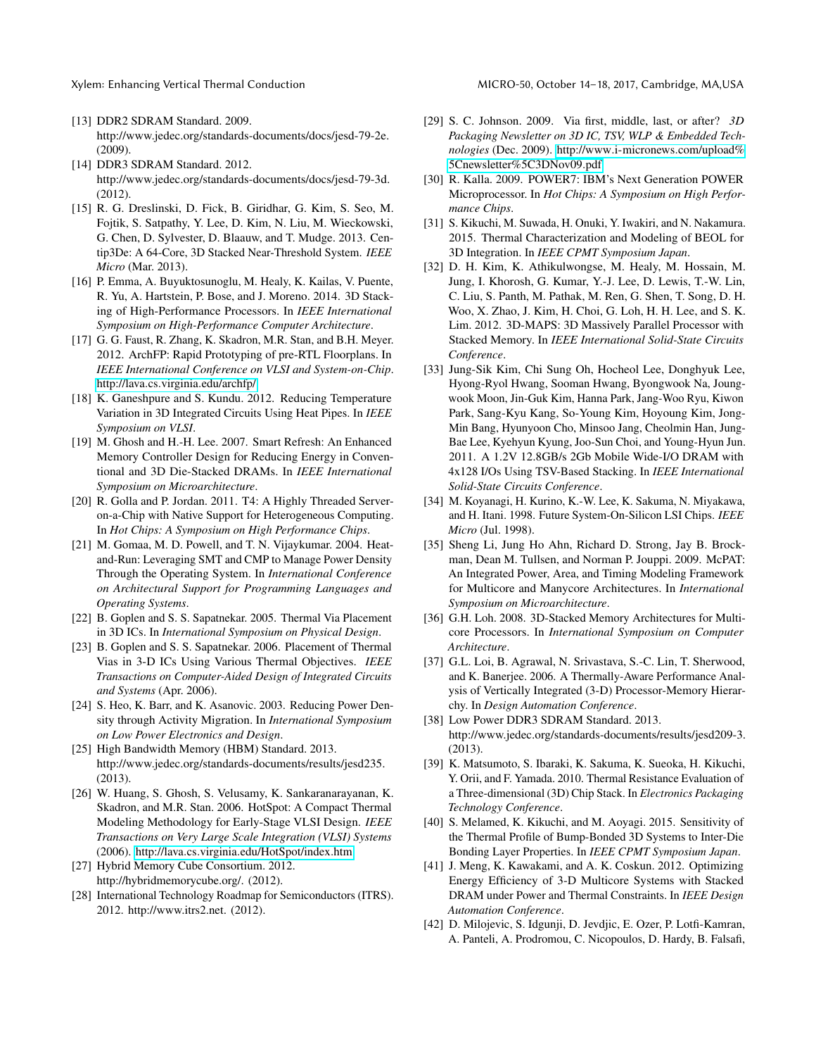- <span id="page-12-24"></span>[13] DDR2 SDRAM Standard. 2009. http://www.jedec.org/standards-documents/docs/jesd-79-2e. (2009).
- <span id="page-12-21"></span>[14] DDR3 SDRAM Standard. 2012. http://www.jedec.org/standards-documents/docs/jesd-79-3d. (2012).
- <span id="page-12-12"></span>[15] R. G. Dreslinski, D. Fick, B. Giridhar, G. Kim, S. Seo, M. Fojtik, S. Satpathy, Y. Lee, D. Kim, N. Liu, M. Wieckowski, G. Chen, D. Sylvester, D. Blaauw, and T. Mudge. 2013. Centip3De: A 64-Core, 3D Stacked Near-Threshold System. *IEEE Micro* (Mar. 2013).
- <span id="page-12-8"></span>[16] P. Emma, A. Buyuktosunoglu, M. Healy, K. Kailas, V. Puente, R. Yu, A. Hartstein, P. Bose, and J. Moreno. 2014. 3D Stacking of High-Performance Processors. In *IEEE International Symposium on High-Performance Computer Architecture*.
- <span id="page-12-23"></span>[17] G. G. Faust, R. Zhang, K. Skadron, M.R. Stan, and B.H. Meyer. 2012. ArchFP: Rapid Prototyping of pre-RTL Floorplans. In *IEEE International Conference on VLSI and System-on-Chip*. http://lava.cs.virginia.[edu/archfp/](http://lava.cs.virginia.edu/archfp/)
- <span id="page-12-28"></span>[18] K. Ganeshpure and S. Kundu. 2012. Reducing Temperature Variation in 3D Integrated Circuits Using Heat Pipes. In *IEEE Symposium on VLSI*.
- <span id="page-12-26"></span>[19] M. Ghosh and H.-H. Lee. 2007. Smart Refresh: An Enhanced Memory Controller Design for Reducing Energy in Conventional and 3D Die-Stacked DRAMs. In *IEEE International Symposium on Microarchitecture*.
- <span id="page-12-14"></span>[20] R. Golla and P. Jordan. 2011. T4: A Highly Threaded Serveron-a-Chip with Native Support for Heterogeneous Computing. In *Hot Chips: A Symposium on High Performance Chips*.
- <span id="page-12-16"></span>[21] M. Gomaa, M. D. Powell, and T. N. Vijaykumar. 2004. Heatand-Run: Leveraging SMT and CMP to Manage Power Density Through the Operating System. In *International Conference on Architectural Support for Programming Languages and Operating Systems*.
- <span id="page-12-1"></span>[22] B. Goplen and S. S. Sapatnekar. 2005. Thermal Via Placement in 3D ICs. In *International Symposium on Physical Design*.
- <span id="page-12-2"></span>[23] B. Goplen and S. S. Sapatnekar. 2006. Placement of Thermal Vias in 3-D ICs Using Various Thermal Objectives. *IEEE Transactions on Computer-Aided Design of Integrated Circuits and Systems* (Apr. 2006).
- <span id="page-12-17"></span>[24] S. Heo, K. Barr, and K. Asanovic. 2003. Reducing Power Density through Activity Migration. In *International Symposium on Low Power Electronics and Design*.
- <span id="page-12-11"></span>[25] High Bandwidth Memory (HBM) Standard. 2013. http://www.jedec.org/standards-documents/results/jesd235. (2013).
- <span id="page-12-20"></span>[26] W. Huang, S. Ghosh, S. Velusamy, K. Sankaranarayanan, K. Skadron, and M.R. Stan. 2006. HotSpot: A Compact Thermal Modeling Methodology for Early-Stage VLSI Design. *IEEE Transactions on Very Large Scale Integration (VLSI) Systems* (2006). http://lava.cs.virginia.[edu/HotSpot/index](http://lava.cs.virginia.edu/HotSpot/index.htm).htm
- <span id="page-12-10"></span>[27] Hybrid Memory Cube Consortium. 2012. http://hybridmemorycube.org/. (2012).
- <span id="page-12-19"></span>[28] International Technology Roadmap for Semiconductors (ITRS). 2012. http://www.itrs2.net. (2012).
- <span id="page-12-7"></span>[29] S. C. Johnson. 2009. Via first, middle, last, or after? *3D Packaging Newsletter on 3D IC, TSV, WLP & Embedded Technologies* (Dec. 2009). http://www.i-micronews.[com/upload%](http://www.i-micronews.com/upload%5Cnewsletter%5C3DNov09.pdf) [5Cnewsletter%5C3DNov09](http://www.i-micronews.com/upload%5Cnewsletter%5C3DNov09.pdf).pdf
- <span id="page-12-15"></span>[30] R. Kalla. 2009. POWER7: IBM's Next Generation POWER Microprocessor. In *Hot Chips: A Symposium on High Performance Chips*.
- <span id="page-12-4"></span>[31] S. Kikuchi, M. Suwada, H. Onuki, Y. Iwakiri, and N. Nakamura. 2015. Thermal Characterization and Modeling of BEOL for 3D Integration. In *IEEE CPMT Symposium Japan*.
- <span id="page-12-13"></span>[32] D. H. Kim, K. Athikulwongse, M. Healy, M. Hossain, M. Jung, I. Khorosh, G. Kumar, Y.-J. Lee, D. Lewis, T.-W. Lin, C. Liu, S. Panth, M. Pathak, M. Ren, G. Shen, T. Song, D. H. Woo, X. Zhao, J. Kim, H. Choi, G. Loh, H. H. Lee, and S. K. Lim. 2012. 3D-MAPS: 3D Massively Parallel Processor with Stacked Memory. In *IEEE International Solid-State Circuits Conference*.
- <span id="page-12-9"></span>[33] Jung-Sik Kim, Chi Sung Oh, Hocheol Lee, Donghyuk Lee, Hyong-Ryol Hwang, Sooman Hwang, Byongwook Na, Joungwook Moon, Jin-Guk Kim, Hanna Park, Jang-Woo Ryu, Kiwon Park, Sang-Kyu Kang, So-Young Kim, Hoyoung Kim, Jong-Min Bang, Hyunyoon Cho, Minsoo Jang, Cheolmin Han, Jung-Bae Lee, Kyehyun Kyung, Joo-Sun Choi, and Young-Hyun Jun. 2011. A 1.2V 12.8GB/s 2Gb Mobile Wide-I/O DRAM with 4x128 I/Os Using TSV-Based Stacking. In *IEEE International Solid-State Circuits Conference*.
- <span id="page-12-0"></span>[34] M. Koyanagi, H. Kurino, K.-W. Lee, K. Sakuma, N. Miyakawa, and H. Itani. 1998. Future System-On-Silicon LSI Chips. *IEEE Micro* (Jul. 1998).
- <span id="page-12-22"></span>[35] Sheng Li, Jung Ho Ahn, Richard D. Strong, Jay B. Brockman, Dean M. Tullsen, and Norman P. Jouppi. 2009. McPAT: An Integrated Power, Area, and Timing Modeling Framework for Multicore and Manycore Architectures. In *International Symposium on Microarchitecture*.
- <span id="page-12-3"></span>[36] G.H. Loh. 2008. 3D-Stacked Memory Architectures for Multicore Processors. In *International Symposium on Computer Architecture*.
- <span id="page-12-27"></span>[37] G.L. Loi, B. Agrawal, N. Srivastava, S.-C. Lin, T. Sherwood, and K. Banerjee. 2006. A Thermally-Aware Performance Analysis of Vertically Integrated (3-D) Processor-Memory Hierarchy. In *Design Automation Conference*.
- <span id="page-12-25"></span>[38] Low Power DDR3 SDRAM Standard. 2013. http://www.jedec.org/standards-documents/results/jesd209-3. (2013).
- <span id="page-12-5"></span>[39] K. Matsumoto, S. Ibaraki, K. Sakuma, K. Sueoka, H. Kikuchi, Y. Orii, and F. Yamada. 2010. Thermal Resistance Evaluation of a Three-dimensional (3D) Chip Stack. In *Electronics Packaging Technology Conference*.
- <span id="page-12-6"></span>[40] S. Melamed, K. Kikuchi, and M. Aoyagi. 2015. Sensitivity of the Thermal Profile of Bump-Bonded 3D Systems to Inter-Die Bonding Layer Properties. In *IEEE CPMT Symposium Japan*.
- <span id="page-12-18"></span>[41] J. Meng, K. Kawakami, and A. K. Coskun. 2012. Optimizing Energy Efficiency of 3-D Multicore Systems with Stacked DRAM under Power and Thermal Constraints. In *IEEE Design Automation Conference*.
- <span id="page-12-29"></span>[42] D. Milojevic, S. Idgunji, D. Jevdjic, E. Ozer, P. Lotfi-Kamran, A. Panteli, A. Prodromou, C. Nicopoulos, D. Hardy, B. Falsafi,